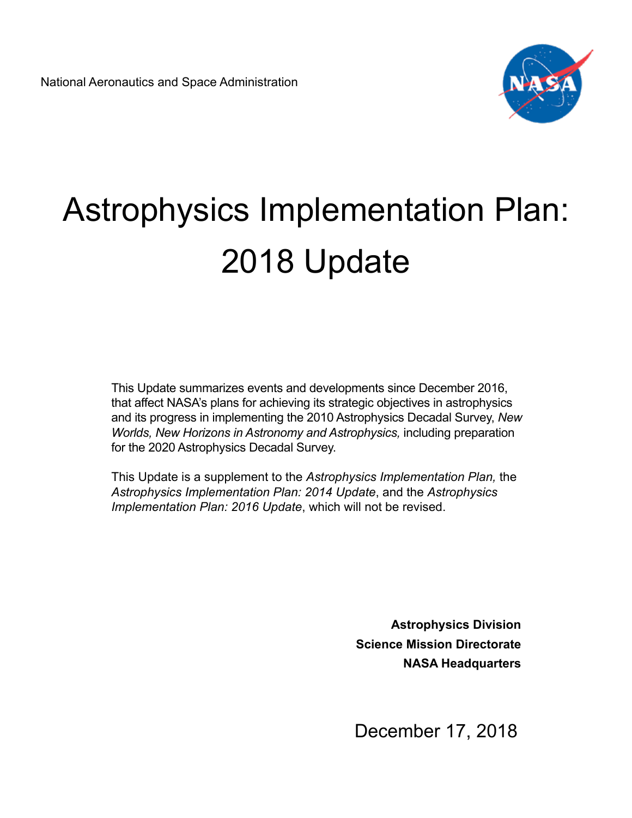

# Astrophysics Implementation Plan: 2018 Update

This Update summarizes events and developments since December 2016, that affect NASA's plans for achieving its strategic objectives in astrophysics and its progress in implementing the 2010 Astrophysics Decadal Survey, *New Worlds, New Horizons in Astronomy and Astrophysics,* including preparation for the 2020 Astrophysics Decadal Survey.

This Update is a supplement to the *Astrophysics Implementation Plan,* the *Astrophysics Implementation Plan: 2014 Update*, and the *Astrophysics Implementation Plan: 2016 Update*, which will not be revised.

> **Astrophysics Division Science Mission Directorate NASA Headquarters**

December 17, 2018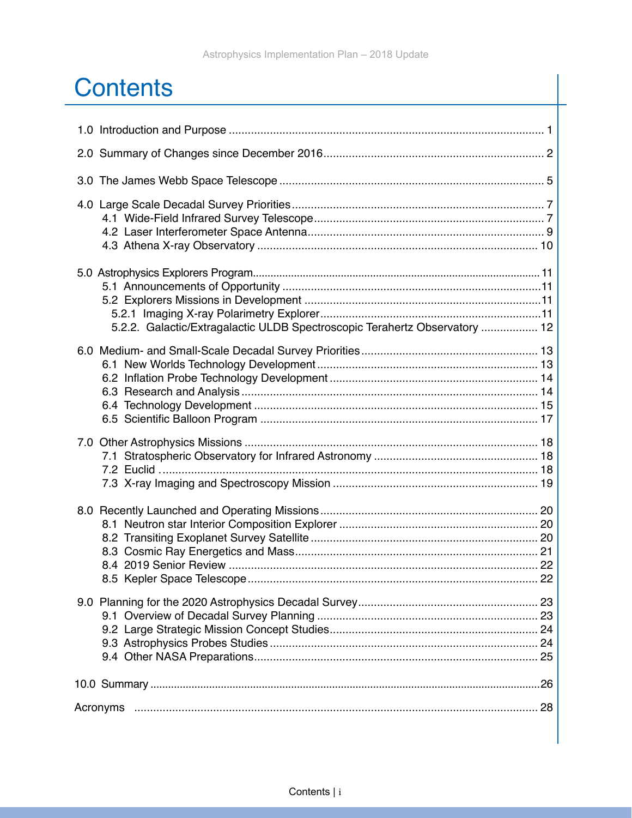### **Contents**

| 5.2.2. Galactic/Extragalactic ULDB Spectroscopic Terahertz Observatory  12 |
|----------------------------------------------------------------------------|
|                                                                            |
|                                                                            |
|                                                                            |
|                                                                            |
|                                                                            |
|                                                                            |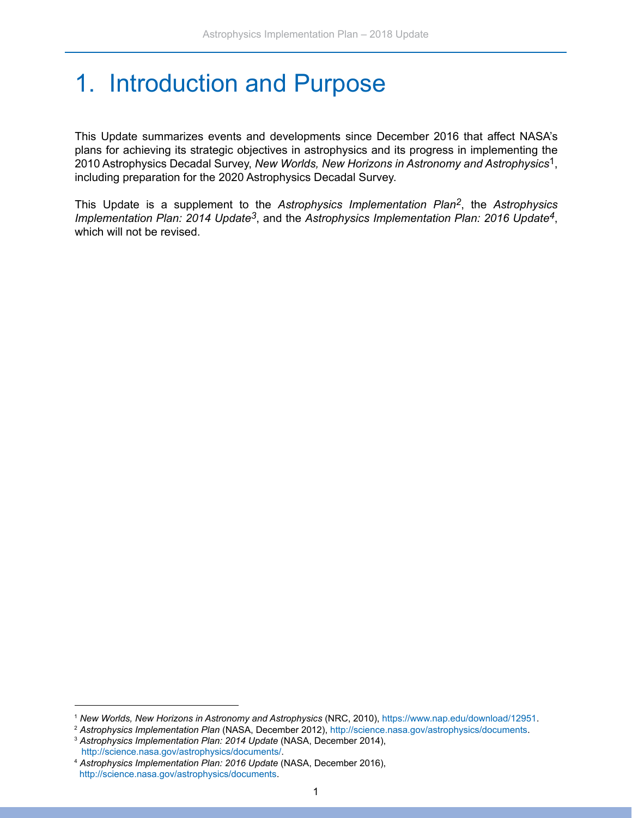### <span id="page-2-0"></span>1. Introduction and Purpose

This Update summarizes events and developments since December 2016 that affect NASA's plans for achieving its strategic objectives in astrophysics and its progress in implementing the 2010 Astrophysics Decadal Survey, *New Worlds, New Horizons in Astronomy and Astrophysics*1, including preparation for the 2020 Astrophysics Decadal Survey.

This Update is a supplement to the *Astrophysics Implementation Plan2*, the *Astrophysics Implementation Plan: 2014 Update3*, and the *Astrophysics Implementation Plan: 2016 Update4*, which will not be revised.

<sup>1</sup> *New Worlds, New Horizons in Astronomy and Astrophysics* (NRC, 2010), [https://www.nap.edu/download/12951.](https://www.nap.edu/download/12951)

<sup>2</sup> *Astrophysics Implementation Plan* (NASA, December 2012),<http://science.nasa.gov/astrophysics/documents>. 3 *Astrophysics Implementation Plan: 2014 Update* (NASA, December 2014),

[http://science.nasa.gov/astrophysics/documents/.](http://science.nasa.gov/astrophysics/documents/)

<sup>4</sup> *Astrophysics Implementation Plan: 2016 Update* (NASA, December 2016), <http://science.nasa.gov/astrophysics/documents>.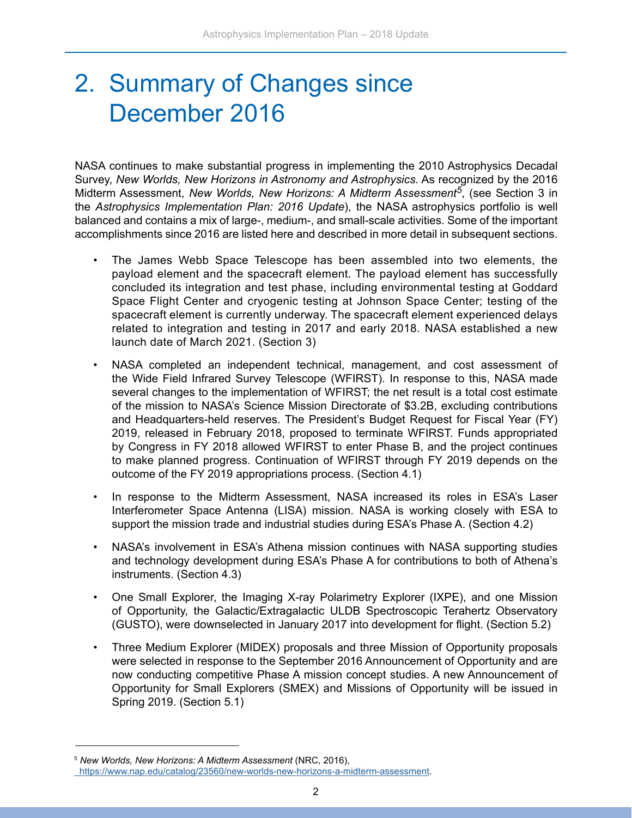### <span id="page-3-0"></span>2. Summary of Changes since December 2016

NASA continues to make substantial progress in implementing the 2010 Astrophysics Decadal Survey, *New Worlds, New Horizons in Astronomy and Astrophysics*. As recognized by the 2016 Midterm Assessment, *New Worlds, New Horizons: A Midterm Assessment5*, (see Section 3 in the *Astrophysics Implementation Plan: 2016 Update*), the NASA astrophysics portfolio is well balanced and contains a mix of large-, medium-, and small-scale activities. Some of the important accomplishments since 2016 are listed here and described in more detail in subsequent sections.

- The James Webb Space Telescope has been assembled into two elements, the payload element and the spacecraft element. The payload element has successfully concluded its integration and test phase, including environmental testing at Goddard Space Flight Center and cryogenic testing at Johnson Space Center; testing of the spacecraft element is currently underway. The spacecraft element experienced delays related to integration and testing in 2017 and early 2018. NASA established a new launch date of March 2021. (Section 3)
- NASA completed an independent technical, management, and cost assessment of the Wide Field Infrared Survey Telescope (WFIRST). In response to this, NASA made several changes to the implementation of WFIRST; the net result is a total cost estimate of the mission to NASA's Science Mission Directorate of \$3.2B, excluding contributions and Headquarters-held reserves. The President's Budget Request for Fiscal Year (FY) 2019, released in February 2018, proposed to terminate WFIRST. Funds appropriated by Congress in FY 2018 allowed WFIRST to enter Phase B, and the project continues to make planned progress. Continuation of WFIRST through FY 2019 depends on the outcome of the FY 2019 appropriations process. (Section 4.1)
- In response to the Midterm Assessment, NASA increased its roles in ESA's Laser Interferometer Space Antenna (LISA) mission. NASA is working closely with ESA to support the mission trade and industrial studies during ESA's Phase A. (Section 4.2)
- NASA's involvement in ESA's Athena mission continues with NASA supporting studies and technology development during ESA's Phase A for contributions to both of Athena's instruments. (Section 4.3)
- One Small Explorer, the Imaging X-ray Polarimetry Explorer (IXPE), and one Mission of Opportunity, the Galactic/Extragalactic ULDB Spectroscopic Terahertz Observatory (GUSTO), were downselected in January 2017 into development for flight. (Section 5.2)
- Three Medium Explorer (MIDEX) proposals and three Mission of Opportunity proposals were selected in response to the September 2016 Announcement of Opportunity and are now conducting competitive Phase A mission concept studies. A new Announcement of Opportunity for Small Explorers (SMEX) and Missions of Opportunity will be issued in Spring 2019. (Section 5.1)

<sup>5</sup> *New Worlds, New Horizons: A Midterm Assessment* (NRC, 2016), <https://www.nap.edu/catalog/23560/new-worlds-new-horizons-a-midterm-assessment>.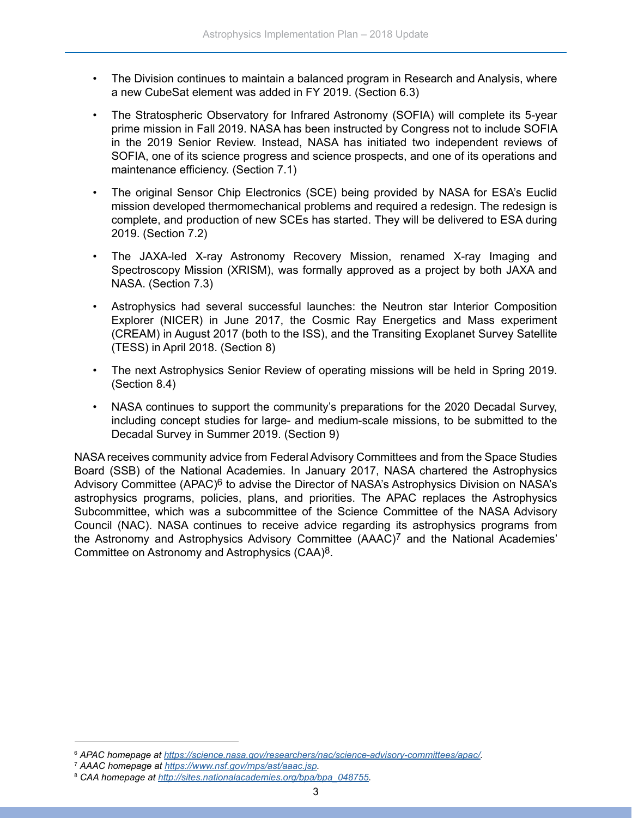- The Division continues to maintain a balanced program in Research and Analysis, where a new CubeSat element was added in FY 2019. (Section 6.3)
- The Stratospheric Observatory for Infrared Astronomy (SOFIA) will complete its 5-year prime mission in Fall 2019. NASA has been instructed by Congress not to include SOFIA in the 2019 Senior Review. Instead, NASA has initiated two independent reviews of SOFIA, one of its science progress and science prospects, and one of its operations and maintenance efficiency. (Section 7.1)
- The original Sensor Chip Electronics (SCE) being provided by NASA for ESA's Euclid mission developed thermomechanical problems and required a redesign. The redesign is complete, and production of new SCEs has started. They will be delivered to ESA during 2019. (Section 7.2)
- The JAXA-led X-ray Astronomy Recovery Mission, renamed X-ray Imaging and Spectroscopy Mission (XRISM), was formally approved as a project by both JAXA and NASA. (Section 7.3)
- Astrophysics had several successful launches: the Neutron star Interior Composition Explorer (NICER) in June 2017, the Cosmic Ray Energetics and Mass experiment (CREAM) in August 2017 (both to the ISS), and the Transiting Exoplanet Survey Satellite (TESS) in April 2018. (Section 8)
- The next Astrophysics Senior Review of operating missions will be held in Spring 2019. (Section 8.4)
- NASA continues to support the community's preparations for the 2020 Decadal Survey, including concept studies for large- and medium-scale missions, to be submitted to the Decadal Survey in Summer 2019. (Section 9)

NASA receives community advice from Federal Advisory Committees and from the Space Studies Board (SSB) of the National Academies. In January 2017, NASA chartered the Astrophysics Advisory Committee (APAC)<sup>6</sup> to advise the Director of NASA's Astrophysics Division on NASA's astrophysics programs, policies, plans, and priorities. The APAC replaces the Astrophysics Subcommittee, which was a subcommittee of the Science Committee of the NASA Advisory Council (NAC). NASA continues to receive advice regarding its astrophysics programs from the Astronomy and Astrophysics Advisory Committee (AAAC)7 and the National Academies' Committee on Astronomy and Astrophysics (CAA)8.

<sup>6</sup> *APAC homepage at <https://science.nasa.gov/researchers/nac/science-advisory-committees/apac/>.*

<sup>7</sup> *AAAC homepage at<https://www.nsf.gov/mps/ast/aaac.jsp>.*

<sup>8</sup> *CAA homepage at [http://sites.nationalacademies.org/bpa/bpa\\_048755](http://sites.nationalacademies.org/bpa/bpa_048755).*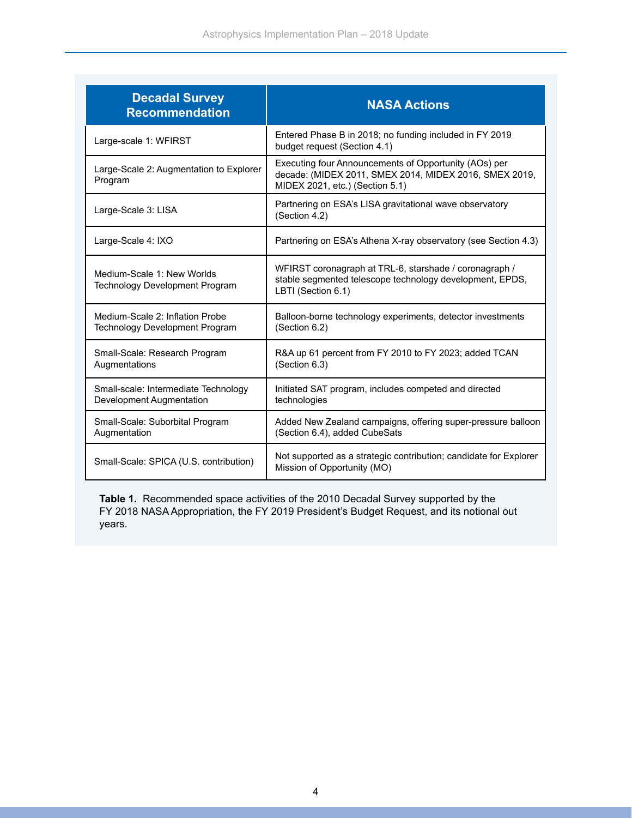| <b>Decadal Survey</b><br><b>Recommendation</b>                           | <b>NASA Actions</b>                                                                                                                                |
|--------------------------------------------------------------------------|----------------------------------------------------------------------------------------------------------------------------------------------------|
| Large-scale 1: WFIRST                                                    | Entered Phase B in 2018; no funding included in FY 2019<br>budget request (Section 4.1)                                                            |
| Large-Scale 2: Augmentation to Explorer<br>Program                       | Executing four Announcements of Opportunity (AOs) per<br>decade: (MIDEX 2011, SMEX 2014, MIDEX 2016, SMEX 2019,<br>MIDEX 2021, etc.) (Section 5.1) |
| Large-Scale 3: LISA                                                      | Partnering on ESA's LISA gravitational wave observatory<br>(Section 4.2)                                                                           |
| Large-Scale 4: IXO                                                       | Partnering on ESA's Athena X-ray observatory (see Section 4.3)                                                                                     |
| Medium-Scale 1: New Worlds<br><b>Technology Development Program</b>      | WFIRST coronagraph at TRL-6, starshade / coronagraph /<br>stable segmented telescope technology development, EPDS,<br>LBTI (Section 6.1)           |
| Medium-Scale 2: Inflation Probe<br><b>Technology Development Program</b> | Balloon-borne technology experiments, detector investments<br>(Section 6.2)                                                                        |
| Small-Scale: Research Program<br>Augmentations                           | R&A up 61 percent from FY 2010 to FY 2023; added TCAN<br>(Section 6.3)                                                                             |
| Small-scale: Intermediate Technology<br>Development Augmentation         | Initiated SAT program, includes competed and directed<br>technologies                                                                              |
| Small-Scale: Suborbital Program<br>Augmentation                          | Added New Zealand campaigns, offering super-pressure balloon<br>(Section 6.4), added CubeSats                                                      |
| Small-Scale: SPICA (U.S. contribution)                                   | Not supported as a strategic contribution; candidate for Explorer<br>Mission of Opportunity (MO)                                                   |

**Table 1.** Recommended space activities of the 2010 Decadal Survey supported by the FY 2018 NASA Appropriation, the FY 2019 President's Budget Request, and its notional out years.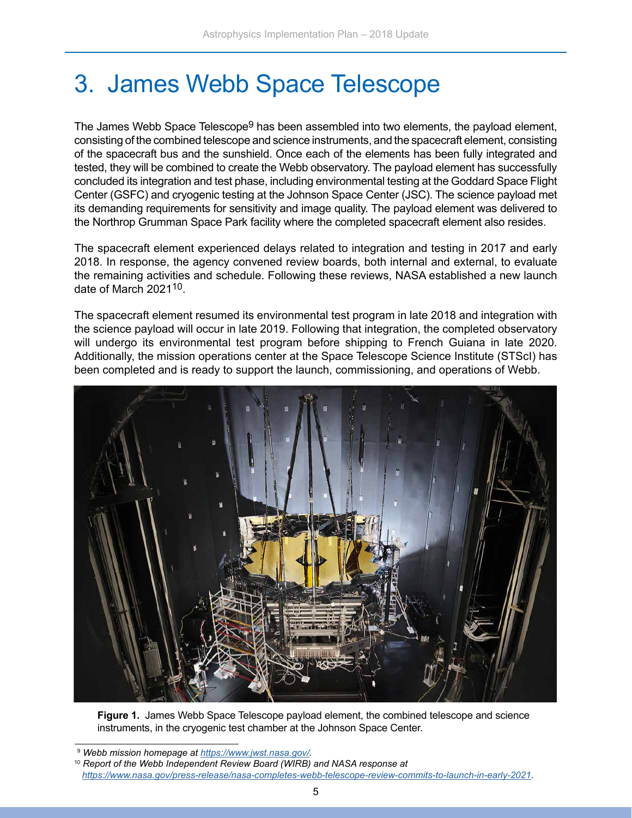### <span id="page-6-0"></span>3. James Webb Space Telescope

The James Webb Space Telescope<sup>9</sup> has been assembled into two elements, the payload element, consisting of the combined telescope and science instruments, and the spacecraft element, consisting of the spacecraft bus and the sunshield. Once each of the elements has been fully integrated and tested, they will be combined to create the Webb observatory. The payload element has successfully concluded its integration and test phase, including environmental testing at the Goddard Space Flight Center (GSFC) and cryogenic testing at the Johnson Space Center (JSC). The science payload met its demanding requirements for sensitivity and image quality. The payload element was delivered to the Northrop Grumman Space Park facility where the completed spacecraft element also resides.

The spacecraft element experienced delays related to integration and testing in 2017 and early 2018. In response, the agency convened review boards, both internal and external, to evaluate the remaining activities and schedule. Following these reviews, NASA established a new launch date of March 202110.

The spacecraft element resumed its environmental test program in late 2018 and integration with the science payload will occur in late 2019. Following that integration, the completed observatory will undergo its environmental test program before shipping to French Guiana in late 2020. Additionally, the mission operations center at the Space Telescope Science Institute (STScI) has been completed and is ready to support the launch, commissioning, and operations of Webb.



**Figure 1.** James Webb Space Telescope payload element, the combined telescope and science instruments, in the cryogenic test chamber at the Johnson Space Center.

<sup>9</sup> *Webb mission homepage at [https://www.jwst.nasa.gov/.](https://www.jwst.nasa.gov/)* 

<sup>10</sup> *Report of the Webb Independent Review Board (WIRB) and NASA response at [https://www.nasa.gov/press-release/nasa-completes-webb-telescope-review-commits-to-launch-in-early-2021.](https://www.nasa.gov/press-release/nasa-completes-webb-telescope-review-commits-to-launch-in-early-2021)*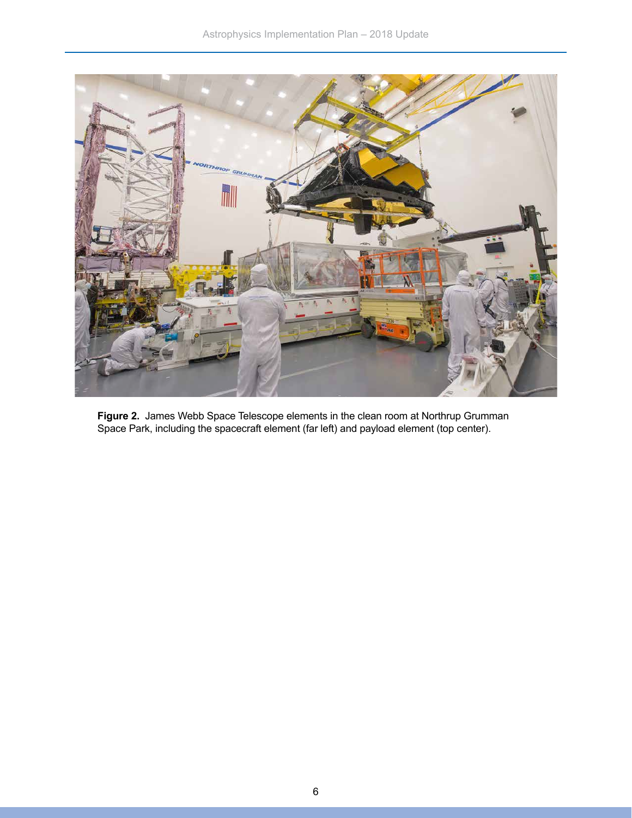

**Figure 2.** James Webb Space Telescope elements in the clean room at Northrup Grumman Space Park, including the spacecraft element (far left) and payload element (top center).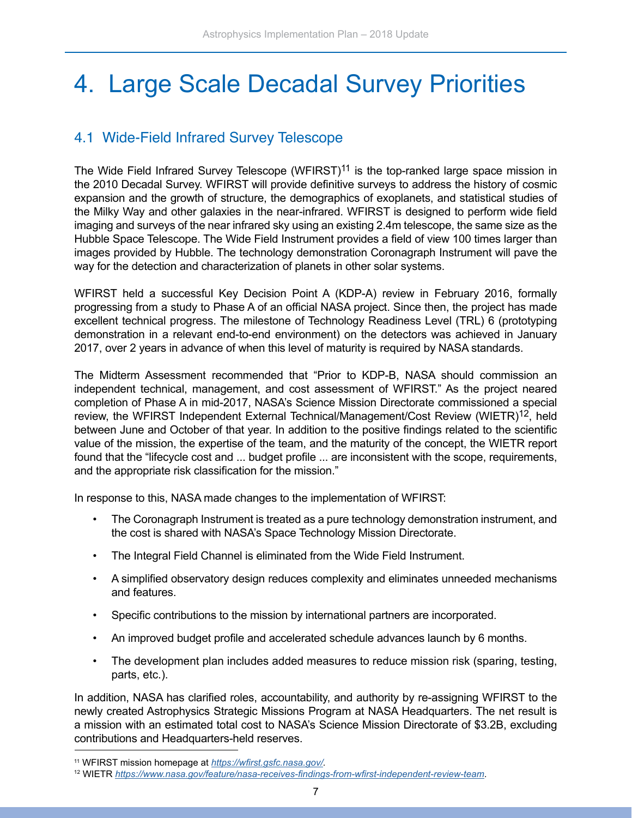### <span id="page-8-0"></span>4. Large Scale Decadal Survey Priorities

#### 4.1 Wide-Field Infrared Survey Telescope

The Wide Field Infrared Survey Telescope (WFIRST)<sup>11</sup> is the top-ranked large space mission in the 2010 Decadal Survey. WFIRST will provide definitive surveys to address the history of cosmic expansion and the growth of structure, the demographics of exoplanets, and statistical studies of the Milky Way and other galaxies in the near-infrared. WFIRST is designed to perform wide field imaging and surveys of the near infrared sky using an existing 2.4m telescope, the same size as the Hubble Space Telescope. The Wide Field Instrument provides a field of view 100 times larger than images provided by Hubble. The technology demonstration Coronagraph Instrument will pave the way for the detection and characterization of planets in other solar systems.

WFIRST held a successful Key Decision Point A (KDP-A) review in February 2016, formally progressing from a study to Phase A of an official NASA project. Since then, the project has made excellent technical progress. The milestone of Technology Readiness Level (TRL) 6 (prototyping demonstration in a relevant end-to-end environment) on the detectors was achieved in January 2017, over 2 years in advance of when this level of maturity is required by NASA standards.

The Midterm Assessment recommended that "Prior to KDP-B, NASA should commission an independent technical, management, and cost assessment of WFIRST." As the project neared completion of Phase A in mid-2017, NASA's Science Mission Directorate commissioned a special review, the WFIRST Independent External Technical/Management/Cost Review (WIETR)<sup>12</sup>, held between June and October of that year. In addition to the positive findings related to the scientific value of the mission, the expertise of the team, and the maturity of the concept, the WIETR report found that the "lifecycle cost and ... budget profile ... are inconsistent with the scope, requirements, and the appropriate risk classification for the mission."

In response to this, NASA made changes to the implementation of WFIRST:

- The Coronagraph Instrument is treated as a pure technology demonstration instrument, and the cost is shared with NASA's Space Technology Mission Directorate.
- The Integral Field Channel is eliminated from the Wide Field Instrument.
- A simplified observatory design reduces complexity and eliminates unneeded mechanisms and features.
- Specific contributions to the mission by international partners are incorporated.
- An improved budget profile and accelerated schedule advances launch by 6 months.
- The development plan includes added measures to reduce mission risk (sparing, testing, parts, etc.).

In addition, NASA has clarified roles, accountability, and authority by re-assigning WFIRST to the newly created Astrophysics Strategic Missions Program at NASA Headquarters. The net result is a mission with an estimated total cost to NASA's Science Mission Directorate of \$3.2B, excluding contributions and Headquarters-held reserves.

<sup>11</sup> WFIRST mission homepage at *<https://wfirst.gsfc.nasa.gov/>.* 

<sup>12</sup> WIETR *<https://www.nasa.gov/feature/nasa-receives-findings-from-wfirst-independent-review-team>*.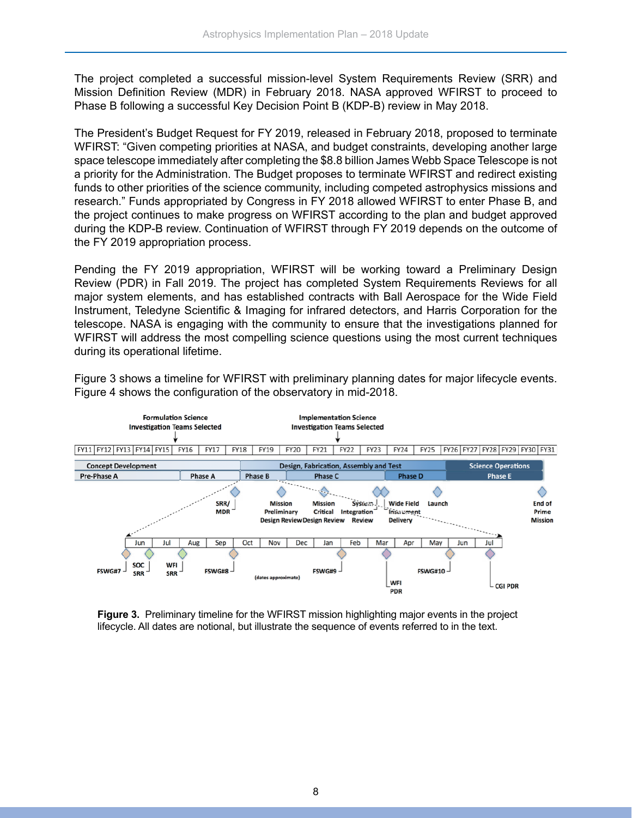The project completed a successful mission-level System Requirements Review (SRR) and Mission Definition Review (MDR) in February 2018. NASA approved WFIRST to proceed to Phase B following a successful Key Decision Point B (KDP-B) review in May 2018.

The President's Budget Request for FY 2019, released in February 2018, proposed to terminate WFIRST: "Given competing priorities at NASA, and budget constraints, developing another large space telescope immediately after completing the \$8.8 billion James Webb Space Telescope is not a priority for the Administration. The Budget proposes to terminate WFIRST and redirect existing funds to other priorities of the science community, including competed astrophysics missions and research." Funds appropriated by Congress in FY 2018 allowed WFIRST to enter Phase B, and the project continues to make progress on WFIRST according to the plan and budget approved during the KDP-B review. Continuation of WFIRST through FY 2019 depends on the outcome of the FY 2019 appropriation process.

Pending the FY 2019 appropriation, WFIRST will be working toward a Preliminary Design Review (PDR) in Fall 2019. The project has completed System Requirements Reviews for all major system elements, and has established contracts with Ball Aerospace for the Wide Field Instrument, Teledyne Scientific & Imaging for infrared detectors, and Harris Corporation for the telescope. NASA is engaging with the community to ensure that the investigations planned for WFIRST will address the most compelling science questions using the most current techniques during its operational lifetime.

Figure 3 shows a timeline for WFIRST with preliminary planning dates for major lifecycle events. Figure 4 shows the configuration of the observatory in mid-2018.



**Figure 3.** Preliminary timeline for the WFIRST mission highlighting major events in the project lifecycle. All dates are notional, but illustrate the sequence of events referred to in the text.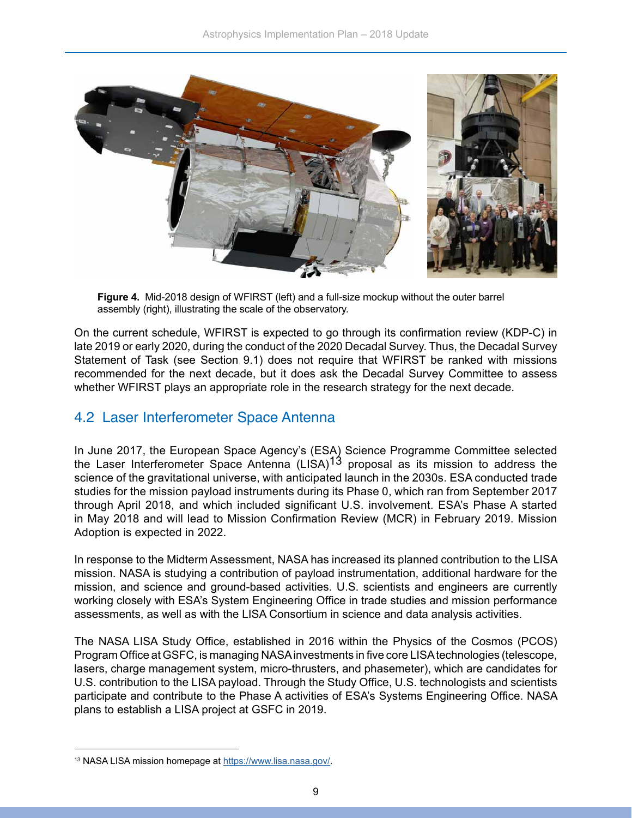<span id="page-10-0"></span>

**Figure 4.** Mid-2018 design of WFIRST (left) and a full-size mockup without the outer barrel assembly (right), illustrating the scale of the observatory.

On the current schedule, WFIRST is expected to go through its confirmation review (KDP-C) in late 2019 or early 2020, during the conduct of the 2020 Decadal Survey. Thus, the Decadal Survey Statement of Task (see Section 9.1) does not require that WFIRST be ranked with missions recommended for the next decade, but it does ask the Decadal Survey Committee to assess whether WFIRST plays an appropriate role in the research strategy for the next decade.

#### 4.2 Laser Interferometer Space Antenna

In June 2017, the European Space Agency's (ESA) Science Programme Committee selected the Laser Interferometer Space Antenna  $(LISA)^{13}$  proposal as its mission to address the science of the gravitational universe, with anticipated launch in the 2030s. ESA conducted trade studies for the mission payload instruments during its Phase 0, which ran from September 2017 through April 2018, and which included significant U.S. involvement. ESA's Phase A started in May 2018 and will lead to Mission Confirmation Review (MCR) in February 2019. Mission Adoption is expected in 2022.

In response to the Midterm Assessment, NASA has increased its planned contribution to the LISA mission. NASA is studying a contribution of payload instrumentation, additional hardware for the mission, and science and ground-based activities. U.S. scientists and engineers are currently working closely with ESA's System Engineering Office in trade studies and mission performance assessments, as well as with the LISA Consortium in science and data analysis activities.

The NASA LISA Study Office, established in 2016 within the Physics of the Cosmos (PCOS) Program Office at GSFC, is managing NASA investments in five core LISA technologies (telescope, lasers, charge management system, micro-thrusters, and phasemeter), which are candidates for U.S. contribution to the LISA payload. Through the Study Office, U.S. technologists and scientists participate and contribute to the Phase A activities of ESA's Systems Engineering Office. NASA plans to establish a LISA project at GSFC in 2019.

<sup>13</sup> NASA LISA mission homepage at [https://www.lisa.nasa.gov/.](https://www.lisa.nasa.gov/)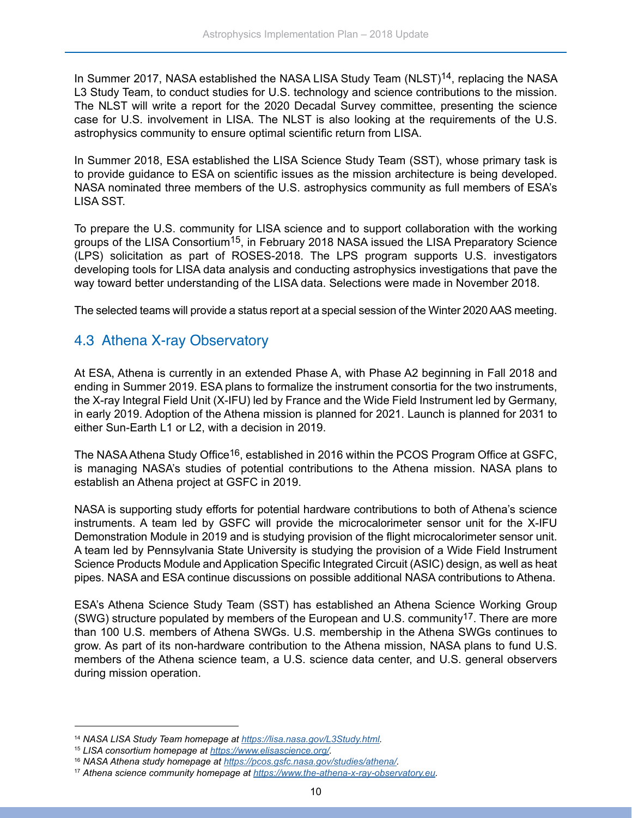<span id="page-11-0"></span>In Summer 2017, NASA established the NASA LISA Study Team (NLST)<sup>14</sup>, replacing the NASA L3 Study Team, to conduct studies for U.S. technology and science contributions to the mission. The NLST will write a report for the 2020 Decadal Survey committee, presenting the science case for U.S. involvement in LISA. The NLST is also looking at the requirements of the U.S. astrophysics community to ensure optimal scientific return from LISA.

In Summer 2018, ESA established the LISA Science Study Team (SST), whose primary task is to provide guidance to ESA on scientific issues as the mission architecture is being developed. NASA nominated three members of the U.S. astrophysics community as full members of ESA's LISA SST.

To prepare the U.S. community for LISA science and to support collaboration with the working groups of the LISA Consortium<sup>15</sup>, in February 2018 NASA issued the LISA Preparatory Science (LPS) solicitation as part of ROSES-2018. The LPS program supports U.S. investigators developing tools for LISA data analysis and conducting astrophysics investigations that pave the way toward better understanding of the LISA data. Selections were made in November 2018.

The selected teams will provide a status report at a special session of the Winter 2020 AAS meeting.

#### 4.3 Athena X-ray Observatory

At ESA, Athena is currently in an extended Phase A, with Phase A2 beginning in Fall 2018 and ending in Summer 2019. ESA plans to formalize the instrument consortia for the two instruments, the X-ray Integral Field Unit (X-IFU) led by France and the Wide Field Instrument led by Germany, in early 2019. Adoption of the Athena mission is planned for 2021. Launch is planned for 2031 to either Sun-Earth L1 or L2, with a decision in 2019.

The NASA Athena Study Office<sup>16</sup>, established in 2016 within the PCOS Program Office at GSFC, is managing NASA's studies of potential contributions to the Athena mission. NASA plans to establish an Athena project at GSFC in 2019.

NASA is supporting study efforts for potential hardware contributions to both of Athena's science instruments. A team led by GSFC will provide the microcalorimeter sensor unit for the X-IFU Demonstration Module in 2019 and is studying provision of the flight microcalorimeter sensor unit. A team led by Pennsylvania State University is studying the provision of a Wide Field Instrument Science Products Module and Application Specific Integrated Circuit (ASIC) design, as well as heat pipes. NASA and ESA continue discussions on possible additional NASA contributions to Athena.

ESA's Athena Science Study Team (SST) has established an Athena Science Working Group (SWG) structure populated by members of the European and U.S. community<sup>17</sup>. There are more than 100 U.S. members of Athena SWGs. U.S. membership in the Athena SWGs continues to grow. As part of its non-hardware contribution to the Athena mission, NASA plans to fund U.S. members of the Athena science team, a U.S. science data center, and U.S. general observers during mission operation.

<sup>14</sup> *NASA LISA Study Team homepage at [https://lisa.nasa.gov/L3Study.html.](https://lisa.nasa.gov/L3Study.html)*

<sup>15</sup> *LISA consortium homepage at <https://www.elisascience.org/>.*

<sup>16</sup> *NASA Athena study homepage at <https://pcos.gsfc.nasa.gov/studies/athena/>.*

<sup>17</sup> *Athena science community homepage at [https://www.the-athena-x-ray-observatory.eu.](https://www.the-athena-x-ray-observatory.eu)*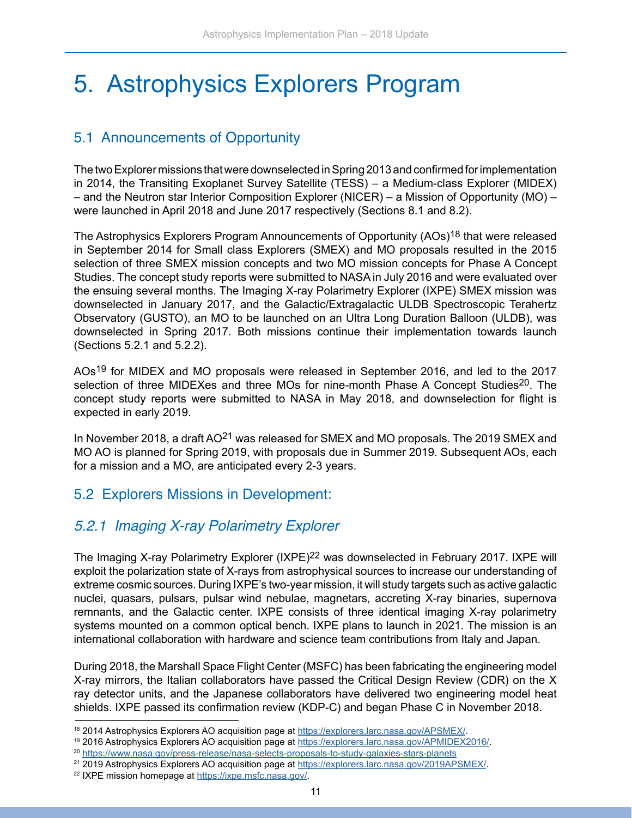### <span id="page-12-0"></span>5. Astrophysics Explorers Program

#### 5.1 Announcements of Opportunity

The two Explorer missions that were downselected in Spring 2013 and confirmed for implementation in 2014, the Transiting Exoplanet Survey Satellite (TESS) – a Medium-class Explorer (MIDEX) – and the Neutron star Interior Composition Explorer (NICER) – a Mission of Opportunity (MO) – were launched in April 2018 and June 2017 respectively (Sections 8.1 and 8.2).

The Astrophysics Explorers Program Announcements of Opportunity (AOs)<sup>18</sup> that were released in September 2014 for Small class Explorers (SMEX) and MO proposals resulted in the 2015 selection of three SMEX mission concepts and two MO mission concepts for Phase A Concept Studies. The concept study reports were submitted to NASA in July 2016 and were evaluated over the ensuing several months. The Imaging X-ray Polarimetry Explorer (IXPE) SMEX mission was downselected in January 2017, and the Galactic/Extragalactic ULDB Spectroscopic Terahertz Observatory (GUSTO), an MO to be launched on an Ultra Long Duration Balloon (ULDB), was downselected in Spring 2017. Both missions continue their implementation towards launch (Sections 5.2.1 and 5.2.2).

AOs<sup>19</sup> for MIDEX and MO proposals were released in September 2016, and led to the 2017 selection of three MIDEXes and three MOs for nine-month Phase A Concept Studies<sup>20</sup>. The concept study reports were submitted to NASA in May 2018, and downselection for flight is expected in early 2019.

In November 2018, a draft AO<sup>21</sup> was released for SMEX and MO proposals. The 2019 SMEX and MO AO is planned for Spring 2019, with proposals due in Summer 2019. Subsequent AOs, each for a mission and a MO, are anticipated every 2-3 years.

#### 5.2 Explorers Missions in Development:

#### *5.2.1 Imaging X-ray Polarimetry Explorer*

The Imaging X-ray Polarimetry Explorer (IXPE)<sup>22</sup> was downselected in February 2017. IXPE will exploit the polarization state of X-rays from astrophysical sources to increase our understanding of extreme cosmic sources. During IXPE's two-year mission, it will study targets such as active galactic nuclei, quasars, pulsars, pulsar wind nebulae, magnetars, accreting X-ray binaries, supernova remnants, and the Galactic center. IXPE consists of three identical imaging X-ray polarimetry systems mounted on a common optical bench. IXPE plans to launch in 2021. The mission is an international collaboration with hardware and science team contributions from Italy and Japan.

During 2018, the Marshall Space Flight Center (MSFC) has been fabricating the engineering model X-ray mirrors, the Italian collaborators have passed the Critical Design Review (CDR) on the X ray detector units, and the Japanese collaborators have delivered two engineering model heat shields. IXPE passed its confirmation review (KDP-C) and began Phase C in November 2018.

<sup>&</sup>lt;sup>18</sup> 2014 Astrophysics Explorers AO acquisition page at <https://explorers.larc.nasa.gov/APSMEX/>.<br><sup>19</sup> 2016 Astrophysics Explorers AO acquisition page at <https://explorers.larc.nasa.gov/APMIDEX2016/>.

<sup>20</sup> <https://www.nasa.gov/press-release/nasa-selects-proposals-to-study-galaxies-stars-planets>

<sup>&</sup>lt;sup>21</sup> 2019 Astrophysics Explorers AO acquisition page at <https://explorers.larc.nasa.gov/2019APSMEX/>.

<sup>22</sup> IXPE mission homepage at [https://ixpe.msfc.nasa.gov/.](https://ixpe.msfc.nasa.gov/)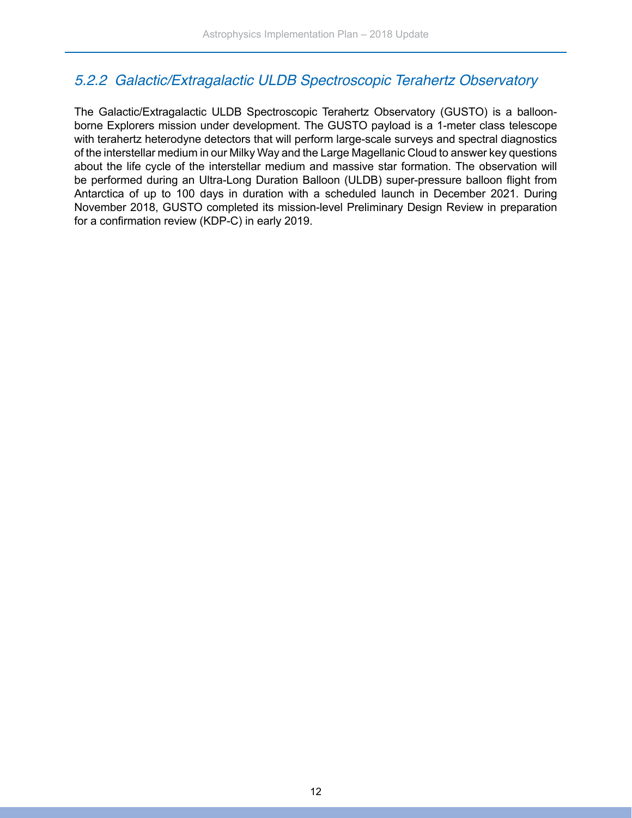#### <span id="page-13-0"></span>*5.2.2 Galactic/Extragalactic ULDB Spectroscopic Terahertz Observatory*

The Galactic/Extragalactic ULDB Spectroscopic Terahertz Observatory (GUSTO) is a balloonborne Explorers mission under development. The GUSTO payload is a 1-meter class telescope with terahertz heterodyne detectors that will perform large-scale surveys and spectral diagnostics of the interstellar medium in our Milky Way and the Large Magellanic Cloud to answer key questions about the life cycle of the interstellar medium and massive star formation. The observation will be performed during an Ultra-Long Duration Balloon (ULDB) super-pressure balloon flight from Antarctica of up to 100 days in duration with a scheduled launch in December 2021. During November 2018, GUSTO completed its mission-level Preliminary Design Review in preparation for a confirmation review (KDP-C) in early 2019.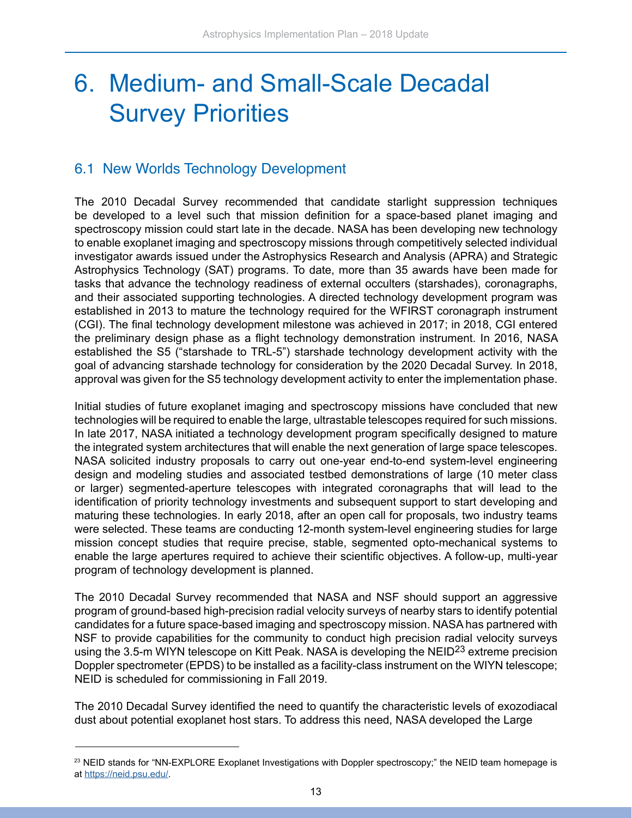### <span id="page-14-0"></span>6. Medium- and Small-Scale Decadal Survey Priorities

#### 6.1 New Worlds Technology Development

The 2010 Decadal Survey recommended that candidate starlight suppression techniques be developed to a level such that mission definition for a space-based planet imaging and spectroscopy mission could start late in the decade. NASA has been developing new technology to enable exoplanet imaging and spectroscopy missions through competitively selected individual investigator awards issued under the Astrophysics Research and Analysis (APRA) and Strategic Astrophysics Technology (SAT) programs. To date, more than 35 awards have been made for tasks that advance the technology readiness of external occulters (starshades), coronagraphs, and their associated supporting technologies. A directed technology development program was established in 2013 to mature the technology required for the WFIRST coronagraph instrument (CGI). The final technology development milestone was achieved in 2017; in 2018, CGI entered the preliminary design phase as a flight technology demonstration instrument. In 2016, NASA established the S5 ("starshade to TRL-5") starshade technology development activity with the goal of advancing starshade technology for consideration by the 2020 Decadal Survey. In 2018, approval was given for the S5 technology development activity to enter the implementation phase.

Initial studies of future exoplanet imaging and spectroscopy missions have concluded that new technologies will be required to enable the large, ultrastable telescopes required for such missions. In late 2017, NASA initiated a technology development program specifically designed to mature the integrated system architectures that will enable the next generation of large space telescopes. NASA solicited industry proposals to carry out one-year end-to-end system-level engineering design and modeling studies and associated testbed demonstrations of large (10 meter class or larger) segmented-aperture telescopes with integrated coronagraphs that will lead to the identification of priority technology investments and subsequent support to start developing and maturing these technologies. In early 2018, after an open call for proposals, two industry teams were selected. These teams are conducting 12-month system-level engineering studies for large mission concept studies that require precise, stable, segmented opto-mechanical systems to enable the large apertures required to achieve their scientific objectives. A follow-up, multi-year program of technology development is planned.

The 2010 Decadal Survey recommended that NASA and NSF should support an aggressive program of ground-based high-precision radial velocity surveys of nearby stars to identify potential candidates for a future space-based imaging and spectroscopy mission. NASA has partnered with NSF to provide capabilities for the community to conduct high precision radial velocity surveys using the 3.5-m WIYN telescope on Kitt Peak. NASA is developing the NEID23 extreme precision Doppler spectrometer (EPDS) to be installed as a facility-class instrument on the WIYN telescope; NEID is scheduled for commissioning in Fall 2019.

The 2010 Decadal Survey identified the need to quantify the characteristic levels of exozodiacal dust about potential exoplanet host stars. To address this need, NASA developed the Large

<sup>&</sup>lt;sup>23</sup> NEID stands for "NN-EXPLORE Exoplanet Investigations with Doppler spectroscopy;" the NEID team homepage is at<https://neid.psu.edu/>.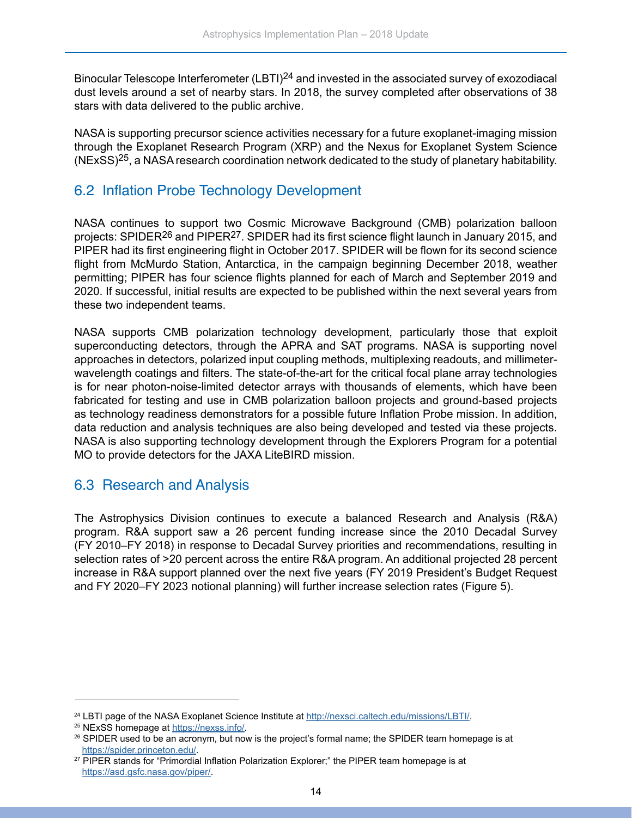<span id="page-15-0"></span>Binocular Telescope Interferometer (LBTI)24 and invested in the associated survey of exozodiacal dust levels around a set of nearby stars. In 2018, the survey completed after observations of 38 stars with data delivered to the public archive.

NASA is supporting precursor science activities necessary for a future exoplanet-imaging mission through the Exoplanet Research Program (XRP) and the Nexus for Exoplanet System Science (NExSS)25, a NASA research coordination network dedicated to the study of planetary habitability.

#### 6.2 Inflation Probe Technology Development

NASA continues to support two Cosmic Microwave Background (CMB) polarization balloon projects: SPIDER26 and PIPER27. SPIDER had its first science flight launch in January 2015, and PIPER had its first engineering flight in October 2017. SPIDER will be flown for its second science flight from McMurdo Station, Antarctica, in the campaign beginning December 2018, weather permitting; PIPER has four science flights planned for each of March and September 2019 and 2020. If successful, initial results are expected to be published within the next several years from these two independent teams.

NASA supports CMB polarization technology development, particularly those that exploit superconducting detectors, through the APRA and SAT programs. NASA is supporting novel approaches in detectors, polarized input coupling methods, multiplexing readouts, and millimeterwavelength coatings and filters. The state-of-the-art for the critical focal plane array technologies is for near photon-noise-limited detector arrays with thousands of elements, which have been fabricated for testing and use in CMB polarization balloon projects and ground-based projects as technology readiness demonstrators for a possible future Inflation Probe mission. In addition, data reduction and analysis techniques are also being developed and tested via these projects. NASA is also supporting technology development through the Explorers Program for a potential MO to provide detectors for the JAXA LiteBIRD mission.

#### 6.3 Research and Analysis

The Astrophysics Division continues to execute a balanced Research and Analysis (R&A) program. R&A support saw a 26 percent funding increase since the 2010 Decadal Survey (FY 2010–FY 2018) in response to Decadal Survey priorities and recommendations, resulting in selection rates of >20 percent across the entire R&A program. An additional projected 28 percent increase in R&A support planned over the next five years (FY 2019 President's Budget Request and FY 2020–FY 2023 notional planning) will further increase selection rates (Figure 5).

<sup>&</sup>lt;sup>24</sup> LBTI page of the NA[SA Exoplanet Scien](https://nexss.info/)ce Institute at <http://nexsci.caltech.edu/missions/LBTI/>.<br><sup>25</sup> NExSS homepage at [https://nexss.info/.](https://nexss.info/)

<sup>&</sup>lt;sup>26</sup> SPIDER used to be an acronym, but now is the project's formal name; the SPIDER team homepage is at <https://spider.princeton.edu/>.

<sup>&</sup>lt;sup>27</sup> PIPER stands for "Primordial Inflation Polarization Explorer;" the PIPER team homepage is at <https://asd.gsfc.nasa.gov/piper/>.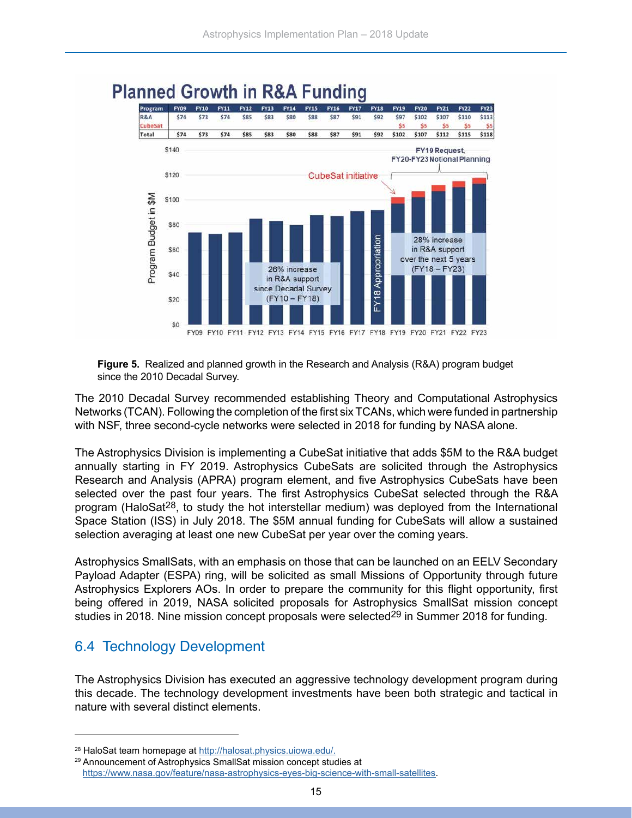

### <span id="page-16-0"></span>**Planned Growth in R&A Funding**

**Figure 5.** Realized and planned growth in the Research and Analysis (R&A) program budget since the 2010 Decadal Survey.

The 2010 Decadal Survey recommended establishing Theory and Computational Astrophysics Networks (TCAN). Following the completion of the first six TCANs, which were funded in partnership with NSF, three second-cycle networks were selected in 2018 for funding by NASA alone.

The Astrophysics Division is implementing a CubeSat initiative that adds \$5M to the R&A budget annually starting in FY 2019. Astrophysics CubeSats are solicited through the Astrophysics Research and Analysis (APRA) program element, and five Astrophysics CubeSats have been selected over the past four years. The first Astrophysics CubeSat selected through the R&A program (HaloSat28, to study the hot interstellar medium) was deployed from the International Space Station (ISS) in July 2018. The \$5M annual funding for CubeSats will allow a sustained selection averaging at least one new CubeSat per year over the coming years.

Astrophysics SmallSats, with an emphasis on those that can be launched on an EELV Secondary Payload Adapter (ESPA) ring, will be solicited as small Missions of Opportunity through future Astrophysics Explorers AOs. In order to prepare the community for this flight opportunity, first being offered in 2019, NASA solicited proposals for Astrophysics SmallSat mission concept studies in 2018. Nine mission concept proposals were selected<sup>29</sup> in Summer 2018 for funding.

#### 6.4 Technology Development

The Astrophysics Division has executed an aggressive technology development program during this decade. The technology development investments have been both strategic and tactical in nature with several distinct elements.

<sup>28</sup> HaloSat team homepage at <http://halosat.physics.uiowa.edu/.>

<sup>29</sup> Announcement of Astrophysics SmallSat mission concept studies at <https://www.nasa.gov/feature/nasa-astrophysics-eyes-big-science-with-small-satellites>.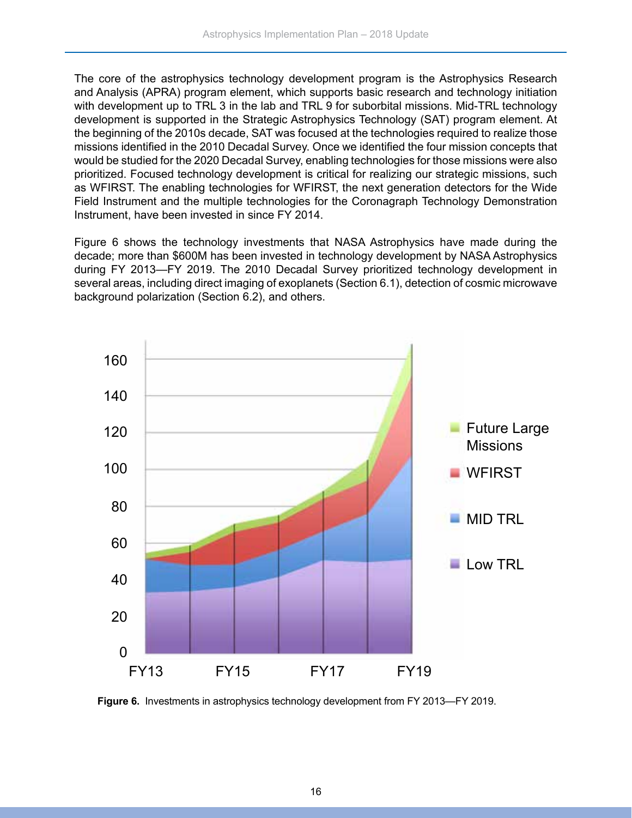The core of the astrophysics technology development program is the Astrophysics Research and Analysis (APRA) program element, which supports basic research and technology initiation with development up to TRL 3 in the lab and TRL 9 for suborbital missions. Mid-TRL technology development is supported in the Strategic Astrophysics Technology (SAT) program element. At the beginning of the 2010s decade, SAT was focused at the technologies required to realize those missions identified in the 2010 Decadal Survey. Once we identified the four mission concepts that would be studied for the 2020 Decadal Survey, enabling technologies for those missions were also prioritized. Focused technology development is critical for realizing our strategic missions, such as WFIRST. The enabling technologies for WFIRST, the next generation detectors for the Wide Field Instrument and the multiple technologies for the Coronagraph Technology Demonstration Instrument, have been invested in since FY 2014.

Figure 6 shows the technology investments that NASA Astrophysics have made during the decade; more than \$600M has been invested in technology development by NASA Astrophysics during FY 2013—FY 2019. The 2010 Decadal Survey prioritized technology development in several areas, including direct imaging of exoplanets (Section 6.1), detection of cosmic microwave background polarization (Section 6.2), and others.



**Figure 6.** Investments in astrophysics technology development from FY 2013—FY 2019.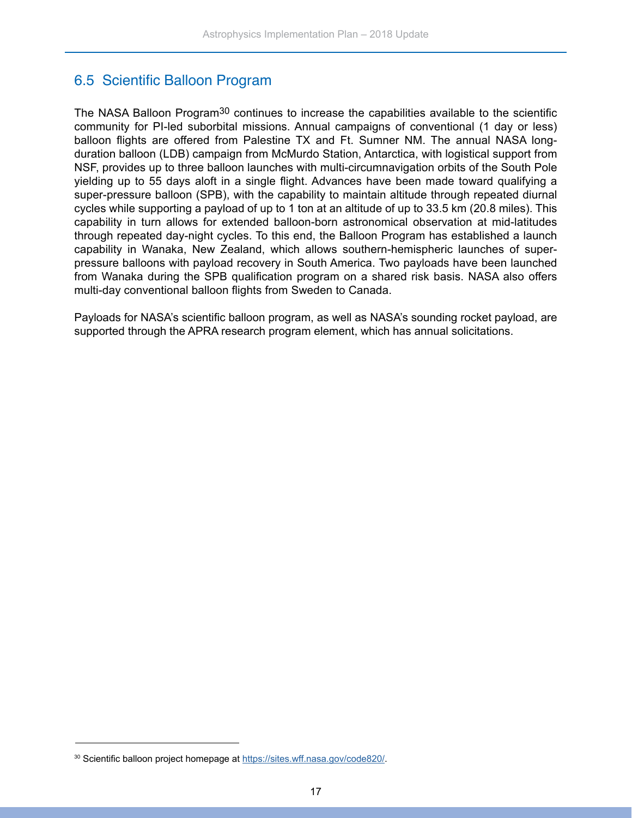#### <span id="page-18-0"></span>6.5 Scientific Balloon Program

The NASA Balloon Program<sup>30</sup> continues to increase the capabilities available to the scientific community for PI-led suborbital missions. Annual campaigns of conventional (1 day or less) balloon flights are offered from Palestine TX and Ft. Sumner NM. The annual NASA longduration balloon (LDB) campaign from McMurdo Station, Antarctica, with logistical support from NSF, provides up to three balloon launches with multi-circumnavigation orbits of the South Pole yielding up to 55 days aloft in a single flight. Advances have been made toward qualifying a super-pressure balloon (SPB), with the capability to maintain altitude through repeated diurnal cycles while supporting a payload of up to 1 ton at an altitude of up to 33.5 km (20.8 miles). This capability in turn allows for extended balloon-born astronomical observation at mid-latitudes through repeated day-night cycles. To this end, the Balloon Program has established a launch capability in Wanaka, New Zealand, which allows southern-hemispheric launches of superpressure balloons with payload recovery in South America. Two payloads have been launched from Wanaka during the SPB qualification program on a shared risk basis. NASA also offers multi-day conventional balloon flights from Sweden to Canada.

Payloads for NASA's scientific balloon program, as well as NASA's sounding rocket payload, are supported through the APRA research program element, which has annual solicitations.

<sup>30</sup> Scientific balloon project homepage at [https://sites.wff.nasa.gov/code820/.](https://sites.wff.nasa.gov/code820/)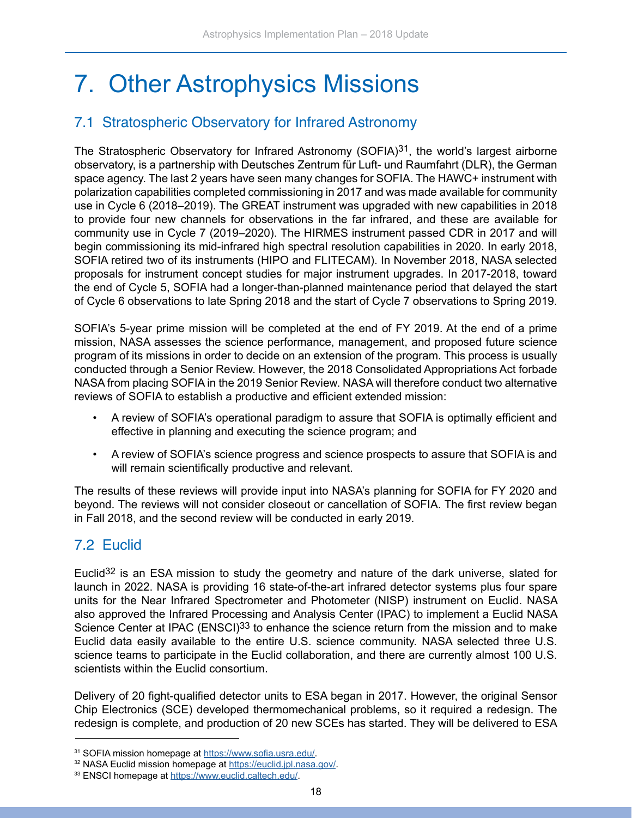## <span id="page-19-0"></span>7. Other Astrophysics Missions

#### 7.1 Stratospheric Observatory for Infrared Astronomy

The Stratospheric Observatory for Infrared Astronomy (SOFIA) $31$ , the world's largest airborne observatory, is a partnership with Deutsches Zentrum für Luft- und Raumfahrt (DLR), the German space agency. The last 2 years have seen many changes for SOFIA. The HAWC+ instrument with polarization capabilities completed commissioning in 2017 and was made available for community use in Cycle 6 (2018–2019). The GREAT instrument was upgraded with new capabilities in 2018 to provide four new channels for observations in the far infrared, and these are available for community use in Cycle 7 (2019–2020). The HIRMES instrument passed CDR in 2017 and will begin commissioning its mid-infrared high spectral resolution capabilities in 2020. In early 2018, SOFIA retired two of its instruments (HIPO and FLITECAM). In November 2018, NASA selected proposals for instrument concept studies for major instrument upgrades. In 2017-2018, toward the end of Cycle 5, SOFIA had a longer-than-planned maintenance period that delayed the start of Cycle 6 observations to late Spring 2018 and the start of Cycle 7 observations to Spring 2019.

SOFIA's 5-year prime mission will be completed at the end of FY 2019. At the end of a prime mission, NASA assesses the science performance, management, and proposed future science program of its missions in order to decide on an extension of the program. This process is usually conducted through a Senior Review. However, the 2018 Consolidated Appropriations Act forbade NASA from placing SOFIA in the 2019 Senior Review. NASA will therefore conduct two alternative reviews of SOFIA to establish a productive and efficient extended mission:

- A review of SOFIA's operational paradigm to assure that SOFIA is optimally efficient and effective in planning and executing the science program; and
- A review of SOFIA's science progress and science prospects to assure that SOFIA is and will remain scientifically productive and relevant.

The results of these reviews will provide input into NASA's planning for SOFIA for FY 2020 and beyond. The reviews will not consider closeout or cancellation of SOFIA. The first review began in Fall 2018, and the second review will be conducted in early 2019.

#### 7.2 Euclid

Euclid<sup>32</sup> is an ESA mission to study the geometry and nature of the dark universe, slated for launch in 2022. NASA is providing 16 state-of-the-art infrared detector systems plus four spare units for the Near Infrared Spectrometer and Photometer (NISP) instrument on Euclid. NASA also approved the Infrared Processing and Analysis Center (IPAC) to implement a Euclid NASA Science Center at IPAC (ENSCI)<sup>33</sup> to enhance the science return from the mission and to make Euclid data easily available to the entire U.S. science community. NASA selected three U.S. science teams to participate in the Euclid collaboration, and there are currently almost 100 U.S. scientists within the Euclid consortium.

Delivery of 20 fight-qualified detector units to ESA began in 2017. However, the original Sensor Chip Electronics (SCE) developed thermomechanical problems, so it required a redesign. The redesign is complete, and production of 20 new SCEs has started. They will be delivered to ESA

<sup>31</sup> SOFIA mission homepage at <https://www.sofia.usra.edu/>.

<sup>32</sup> NASA Euclid mission homepage at <https://euclid.jpl.nasa.gov/>.

<sup>33</sup> ENSCI homepage at<https://www.euclid.caltech.edu/>.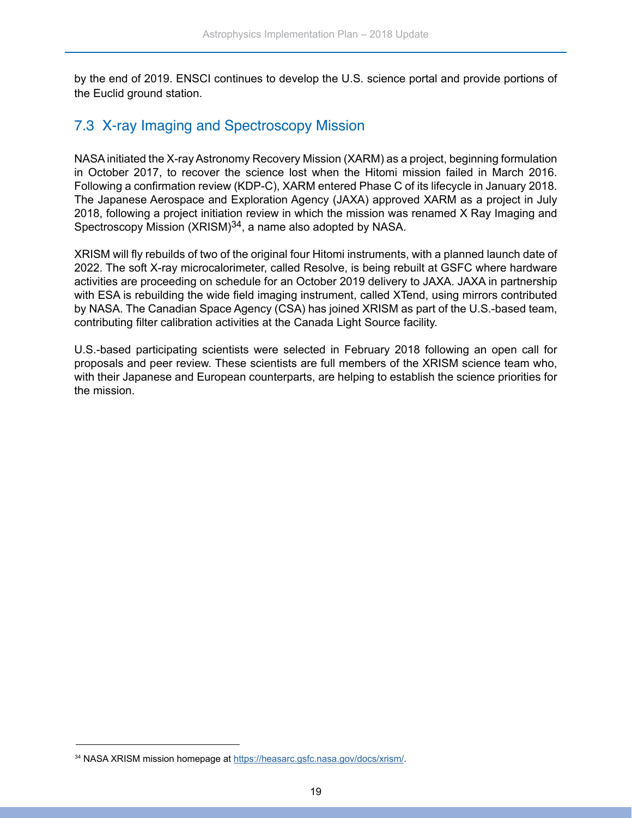<span id="page-20-0"></span>by the end of 2019. ENSCI continues to develop the U.S. science portal and provide portions of the Euclid ground station.

#### 7.3 X-ray Imaging and Spectroscopy Mission

NASA initiated the X-ray Astronomy Recovery Mission (XARM) as a project, beginning formulation in October 2017, to recover the science lost when the Hitomi mission failed in March 2016. Following a confirmation review (KDP-C), XARM entered Phase C of its lifecycle in January 2018. The Japanese Aerospace and Exploration Agency (JAXA) approved XARM as a project in July 2018, following a project initiation review in which the mission was renamed X Ray Imaging and Spectroscopy Mission (XRISM)<sup>34</sup>, a name also adopted by NASA.

XRISM will fly rebuilds of two of the original four Hitomi instruments, with a planned launch date of 2022. The soft X-ray microcalorimeter, called Resolve, is being rebuilt at GSFC where hardware activities are proceeding on schedule for an October 2019 delivery to JAXA. JAXA in partnership with ESA is rebuilding the wide field imaging instrument, called XTend, using mirrors contributed by NASA. The Canadian Space Agency (CSA) has joined XRISM as part of the U.S.-based team, contributing filter calibration activities at the Canada Light Source facility.

U.S.-based participating scientists were selected in February 2018 following an open call for proposals and peer review. These scientists are full members of the XRISM science team who, with their Japanese and European counterparts, are helping to establish the science priorities for the mission.

<sup>34</sup> NASA XRISM mission homepage at [https://heasarc.gsfc.nasa.gov/docs/xrism/.](https://heasarc.gsfc.nasa.gov/docs/xrism/)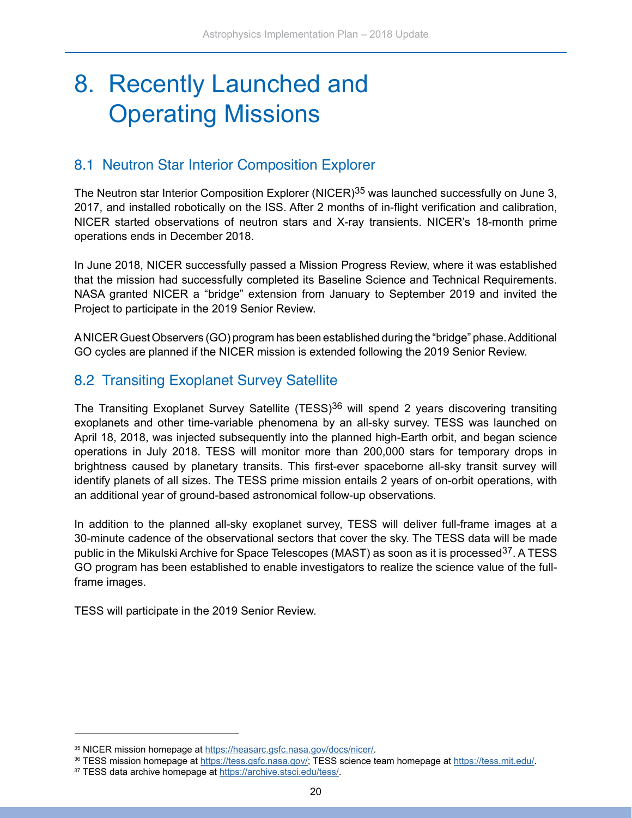### <span id="page-21-0"></span>8. Recently Launched and Operating Missions

#### 8.1 Neutron Star Interior Composition Explorer

The Neutron star Interior Composition Explorer (NICER)<sup>35</sup> was launched successfully on June 3, 2017, and installed robotically on the ISS. After 2 months of in-flight verification and calibration, NICER started observations of neutron stars and X-ray transients. NICER's 18-month prime operations ends in December 2018.

In June 2018, NICER successfully passed a Mission Progress Review, where it was established that the mission had successfully completed its Baseline Science and Technical Requirements. NASA granted NICER a "bridge" extension from January to September 2019 and invited the Project to participate in the 2019 Senior Review.

A NICER Guest Observers (GO) program has been established during the "bridge" phase. Additional GO cycles are planned if the NICER mission is extended following the 2019 Senior Review.

#### 8.2 Transiting Exoplanet Survey Satellite

The Transiting Exoplanet Survey Satellite (TESS)<sup>36</sup> will spend 2 years discovering transiting exoplanets and other time-variable phenomena by an all-sky survey. TESS was launched on April 18, 2018, was injected subsequently into the planned high-Earth orbit, and began science operations in July 2018. TESS will monitor more than 200,000 stars for temporary drops in brightness caused by planetary transits. This first-ever spaceborne all-sky transit survey will identify planets of all sizes. The TESS prime mission entails 2 years of on-orbit operations, with an additional year of ground-based astronomical follow-up observations.

In addition to the planned all-sky exoplanet survey, TESS will deliver full-frame images at a 30-minute cadence of the observational sectors that cover the sky. The TESS data will be made public in the Mikulski Archive for Space Telescopes (MAST) as soon as it is processed<sup>37</sup>. A TESS GO program has been established to enable investigators to realize the science value of the fullframe images.

TESS will participate in the 2019 Senior Review.

<sup>35</sup> NICER mission homepage at [https://heasarc.gsfc.nasa.gov/docs/nicer/.](https://heasarc.gsfc.nasa.gov/docs/nicer/)

<sup>36</sup> TESS mission homepage at<https://tess.gsfc.nasa.gov/>; TESS science team homepage at [https://tess.mit.edu/.](https://tess.mit.edu/)

<sup>37</sup> TESS data archive homepage at <https://archive.stsci.edu/tess/>.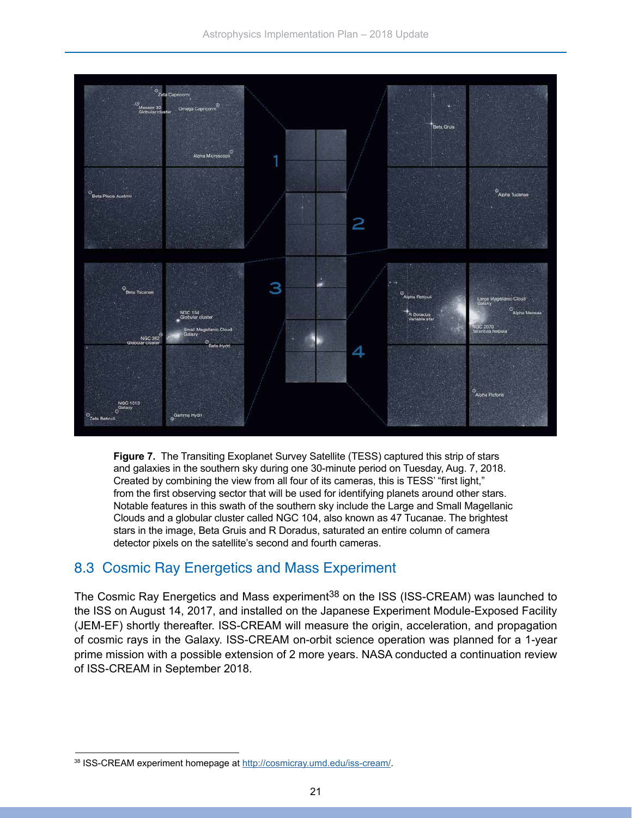<span id="page-22-0"></span>

**Figure 7.** The Transiting Exoplanet Survey Satellite (TESS) captured this strip of stars and galaxies in the southern sky during one 30-minute period on Tuesday, Aug. 7, 2018. Created by combining the view from all four of its cameras, this is TESS' "first light," from the first observing sector that will be used for identifying planets around other stars. Notable features in this swath of the southern sky include the Large and Small Magellanic Clouds and a globular cluster called NGC 104, also known as 47 Tucanae. The brightest stars in the image, Beta Gruis and R Doradus, saturated an entire column of camera detector pixels on the satellite's second and fourth cameras.

#### 8.3 Cosmic Ray Energetics and Mass Experiment

The Cosmic Ray Energetics and Mass experiment<sup>38</sup> on the ISS (ISS-CREAM) was launched to the ISS on August 14, 2017, and installed on the Japanese Experiment Module-Exposed Facility (JEM-EF) shortly thereafter. ISS-CREAM will measure the origin, acceleration, and propagation of cosmic rays in the Galaxy. ISS-CREAM on-orbit science operation was planned for a 1-year prime mission with a possible extension of 2 more years. NASA conducted a continuation review of ISS-CREAM in September 2018.

<sup>38</sup> ISS-CREAM experiment homepage at [http://cosmicray.umd.edu/iss-cream/.](http://cosmicray.umd.edu/iss-cream/)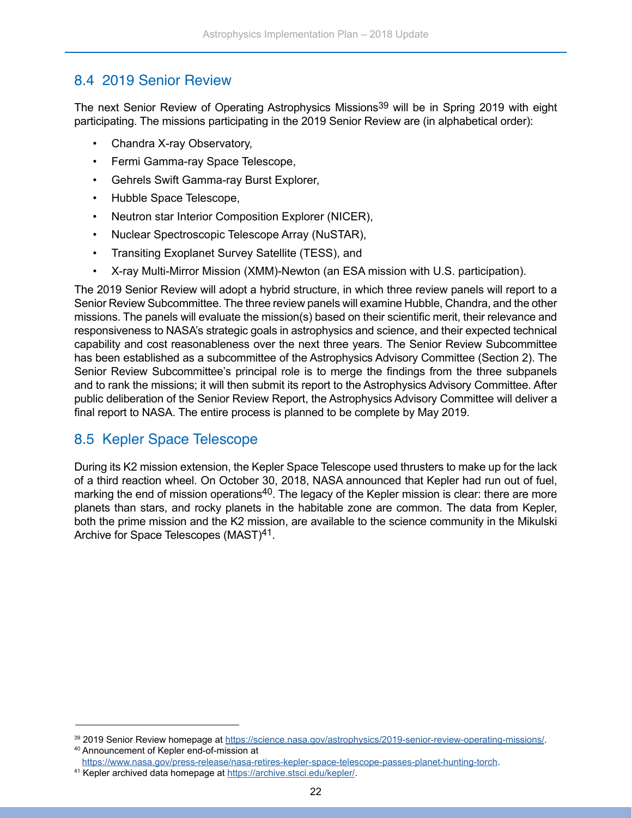#### <span id="page-23-0"></span>8.4 2019 Senior Review

The next Senior Review of Operating Astrophysics Missions<sup>39</sup> will be in Spring 2019 with eight participating. The missions participating in the 2019 Senior Review are (in alphabetical order):

- Chandra X-ray Observatory,
- Fermi Gamma-ray Space Telescope,
- Gehrels Swift Gamma-ray Burst Explorer,
- Hubble Space Telescope,
- Neutron star Interior Composition Explorer (NICER),
- Nuclear Spectroscopic Telescope Array (NuSTAR),
- Transiting Exoplanet Survey Satellite (TESS), and
- X-ray Multi-Mirror Mission (XMM)-Newton (an ESA mission with U.S. participation).

The 2019 Senior Review will adopt a hybrid structure, in which three review panels will report to a Senior Review Subcommittee. The three review panels will examine Hubble, Chandra, and the other missions. The panels will evaluate the mission(s) based on their scientific merit, their relevance and responsiveness to NASA's strategic goals in astrophysics and science, and their expected technical capability and cost reasonableness over the next three years. The Senior Review Subcommittee has been established as a subcommittee of the Astrophysics Advisory Committee (Section 2). The Senior Review Subcommittee's principal role is to merge the findings from the three subpanels and to rank the missions; it will then submit its report to the Astrophysics Advisory Committee. After public deliberation of the Senior Review Report, the Astrophysics Advisory Committee will deliver a final report to NASA. The entire process is planned to be complete by May 2019.

#### 8.5 Kepler Space Telescope

During its K2 mission extension, the Kepler Space Telescope used thrusters to make up for the lack of a third reaction wheel. On October 30, 2018, NASA announced that Kepler had run out of fuel, marking the end of mission operations<sup>40</sup>. The legacy of the Kepler mission is clear: there are more planets than stars, and rocky planets in the habitable zone are common. The data from Kepler, both the prime mission and the K2 mission, are available to the science community in the Mikulski Archive for Space Telescopes (MAST)41.

<sup>39 2019</sup> Senior Review homepage at [https://science.nasa.gov/astrophysics/2019-senior-review-operating-missions/.](https://science.nasa.gov/astrophysics/2019-senior-review-operating-missions/) 40 Announcement of Kepler end-of-mission at

<https://www.nasa.gov/press-release/nasa-retires-kepler-space-telescope-passes-planet-hunting-torch>.

<sup>41</sup> Kepler archived data homepage at [https://archive.stsci.edu/kepler/.](https://archive.stsci.edu/kepler/)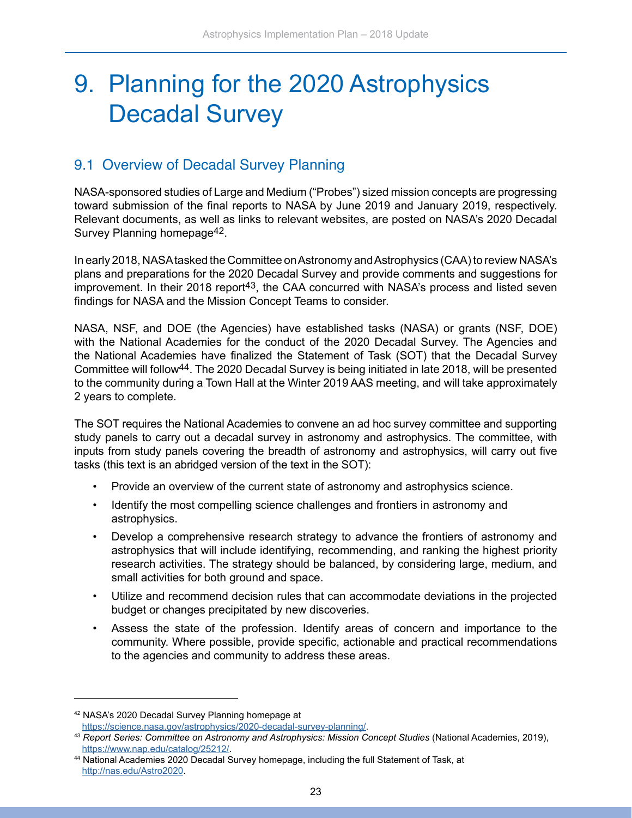### <span id="page-24-0"></span>9. Planning for the 2020 Astrophysics Decadal Survey

#### 9.1 Overview of Decadal Survey Planning

NASA-sponsored studies of Large and Medium ("Probes") sized mission concepts are progressing toward submission of the final reports to NASA by June 2019 and January 2019, respectively. Relevant documents, as well as links to relevant websites, are posted on NASA's 2020 Decadal Survey Planning homepage42.

In early 2018, NASA tasked the Committee on Astronomy and Astrophysics (CAA) to review NASA's plans and preparations for the 2020 Decadal Survey and provide comments and suggestions for improvement. In their 2018 report<sup>43</sup>, the CAA concurred with NASA's process and listed seven findings for NASA and the Mission Concept Teams to consider.

NASA, NSF, and DOE (the Agencies) have established tasks (NASA) or grants (NSF, DOE) with the National Academies for the conduct of the 2020 Decadal Survey. The Agencies and the National Academies have finalized the Statement of Task (SOT) that the Decadal Survey Committee will follow44. The 2020 Decadal Survey is being initiated in late 2018, will be presented to the community during a Town Hall at the Winter 2019 AAS meeting, and will take approximately 2 years to complete.

The SOT requires the National Academies to convene an ad hoc survey committee and supporting study panels to carry out a decadal survey in astronomy and astrophysics. The committee, with inputs from study panels covering the breadth of astronomy and astrophysics, will carry out five tasks (this text is an abridged version of the text in the SOT):

- Provide an overview of the current state of astronomy and astrophysics science.
- Identify the most compelling science challenges and frontiers in astronomy and astrophysics.
- Develop a comprehensive research strategy to advance the frontiers of astronomy and astrophysics that will include identifying, recommending, and ranking the highest priority research activities. The strategy should be balanced, by considering large, medium, and small activities for both ground and space.
- Utilize and recommend decision rules that can accommodate deviations in the projected budget or changes precipitated by new discoveries.
- Assess the state of the profession. Identify areas of concern and importance to the community. Where possible, provide specific, actionable and practical recommendations to the agencies and community to address these areas.

<sup>42</sup> NASA's 2020 Decadal Survey Planning homepage at [https://science.nasa.gov/astrophysics/2020-decadal-survey-planning/.](https://science.nasa.gov/astrophysics/2020-decadal-survey-planning/)

<sup>43</sup> *Report Series: Committee on Astronomy and Astrophysics: Mission Concept Studies* (National Academies, 2019), <https://www.nap.edu/catalog/25212/>.

<sup>44</sup> National Academies 2020 Decadal Survey homepage, including the full Statement of Task, at [http://nas.edu/Astro2020.](http://nas.edu/Astro2020)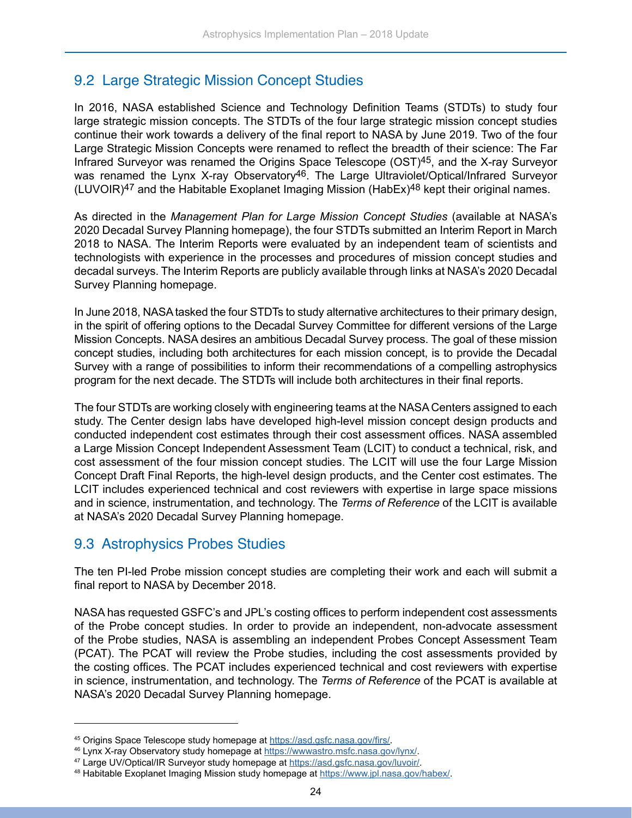#### <span id="page-25-0"></span>9.2 Large Strategic Mission Concept Studies

In 2016, NASA established Science and Technology Definition Teams (STDTs) to study four large strategic mission concepts. The STDTs of the four large strategic mission concept studies continue their work towards a delivery of the final report to NASA by June 2019. Two of the four Large Strategic Mission Concepts were renamed to reflect the breadth of their science: The Far Infrared Surveyor was renamed the Origins Space Telescope (OST)45, and the X-ray Surveyor was renamed the Lynx X-ray Observatory<sup>46</sup>. The Large Ultraviolet/Optical/Infrared Surveyor  $(LUVOIR)^{47}$  and the Habitable Exoplanet Imaging Mission (HabEx)<sup>48</sup> kept their original names.

As directed in the *Management Plan for Large Mission Concept Studies* (available at NASA's 2020 Decadal Survey Planning homepage), the four STDTs submitted an Interim Report in March 2018 to NASA. The Interim Reports were evaluated by an independent team of scientists and technologists with experience in the processes and procedures of mission concept studies and decadal surveys. The Interim Reports are publicly available through links at NASA's 2020 Decadal Survey Planning homepage.

In June 2018, NASA tasked the four STDTs to study alternative architectures to their primary design, in the spirit of offering options to the Decadal Survey Committee for different versions of the Large Mission Concepts. NASA desires an ambitious Decadal Survey process. The goal of these mission concept studies, including both architectures for each mission concept, is to provide the Decadal Survey with a range of possibilities to inform their recommendations of a compelling astrophysics program for the next decade. The STDTs will include both architectures in their final reports.

The four STDTs are working closely with engineering teams at the NASA Centers assigned to each study. The Center design labs have developed high-level mission concept design products and conducted independent cost estimates through their cost assessment offices. NASA assembled a Large Mission Concept Independent Assessment Team (LCIT) to conduct a technical, risk, and cost assessment of the four mission concept studies. The LCIT will use the four Large Mission Concept Draft Final Reports, the high-level design products, and the Center cost estimates. The LCIT includes experienced technical and cost reviewers with expertise in large space missions and in science, instrumentation, and technology. The *Terms of Reference* of the LCIT is available at NASA's 2020 Decadal Survey Planning homepage.

#### 9.3 Astrophysics Probes Studies

The ten PI-led Probe mission concept studies are completing their work and each will submit a final report to NASA by December 2018.

NASA has requested GSFC's and JPL's costing offices to perform independent cost assessments of the Probe concept studies. In order to provide an independent, non-advocate assessment of the Probe studies, NASA is assembling an independent Probes Concept Assessment Team (PCAT). The PCAT will review the Probe studies, including the cost assessments provided by the costing offices. The PCAT includes experienced technical and cost reviewers with expertise in science, instrumentation, and technology. The *Terms of Reference* of the PCAT is available at NASA's 2020 Decadal Survey Planning homepage.

<sup>45</sup> Origins Space Telescope study homepage at <https://asd.gsfc.nasa.gov/firs/>.

<sup>46</sup> Lynx X-ray Observatory study homepage at<https://wwwastro.msfc.nasa.gov/lynx/>.

<sup>47</sup> Large UV/Optical/IR Surveyor study homepage at [https://asd.gsfc.nasa.gov/luvoir/.](https://asd.gsfc.nasa.gov/luvoir/)

<sup>48</sup> Habitable Exoplanet Imaging Mission study homepage at <https://www.jpl.nasa.gov/habex/>.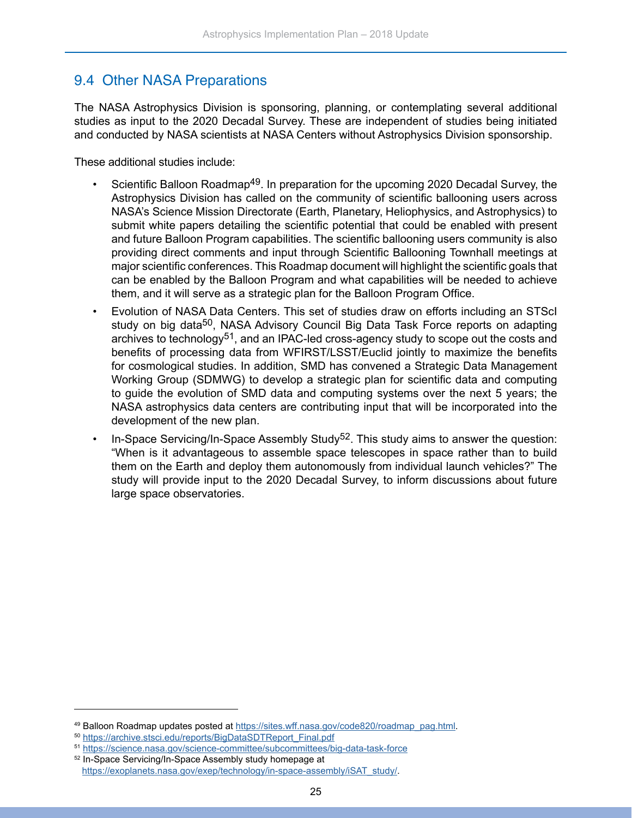#### <span id="page-26-0"></span>9.4 Other NASA Preparations

The NASA Astrophysics Division is sponsoring, planning, or contemplating several additional studies as input to the 2020 Decadal Survey. These are independent of studies being initiated and conducted by NASA scientists at NASA Centers without Astrophysics Division sponsorship.

These additional studies include:

- Scientific Balloon Roadmap<sup>49</sup>. In preparation for the upcoming 2020 Decadal Survey, the Astrophysics Division has called on the community of scientific ballooning users across NASA's Science Mission Directorate (Earth, Planetary, Heliophysics, and Astrophysics) to submit white papers detailing the scientific potential that could be enabled with present and future Balloon Program capabilities. The scientific ballooning users community is also providing direct comments and input through Scientific Ballooning Townhall meetings at major scientific conferences. This Roadmap document will highlight the scientific goals that can be enabled by the Balloon Program and what capabilities will be needed to achieve them, and it will serve as a strategic plan for the Balloon Program Office.
- Evolution of NASA Data Centers. This set of studies draw on efforts including an STScI study on big data<sup>50</sup>, NASA Advisory Council Big Data Task Force reports on adapting archives to technology<sup>51</sup>, and an IPAC-led cross-agency study to scope out the costs and benefits of processing data from WFIRST/LSST/Euclid jointly to maximize the benefits for cosmological studies. In addition, SMD has convened a Strategic Data Management Working Group (SDMWG) to develop a strategic plan for scientific data and computing to guide the evolution of SMD data and computing systems over the next 5 years; the NASA astrophysics data centers are contributing input that will be incorporated into the development of the new plan.
- In-Space Servicing/In-Space Assembly Study<sup>52</sup>. This study aims to answer the question: "When is it advantageous to assemble space telescopes in space rather than to build them on the Earth and deploy them autonomously from individual launch vehicles?" The study will provide input to the 2020 Decadal Survey, to inform discussions about future large space observatories.

<sup>49</sup> Balloon Roadmap updates posted at [https://sites.wff.nasa.gov/code820/roadmap\\_pag.html](https://sites.wff.nasa.gov/code820/roadmap_pag.html).

<sup>50</sup> [https://archive.stsci.edu/reports/BigDataSDTReport\\_Final.pdf](https://archive.stsci.edu/reports/BigDataSDTReport_Final.pdf)

<sup>51</sup> <https://science.nasa.gov/science-committee/subcommittees/big-data-task-force>

<sup>52</sup> In-Space Servicing/In-Space Assembly study homepage at [https://exoplanets.nasa.gov/exep/technology/in-space-assembly/iSAT\\_study/](https://exoplanets.nasa.gov/exep/technology/in-space-assembly/iSAT_study/).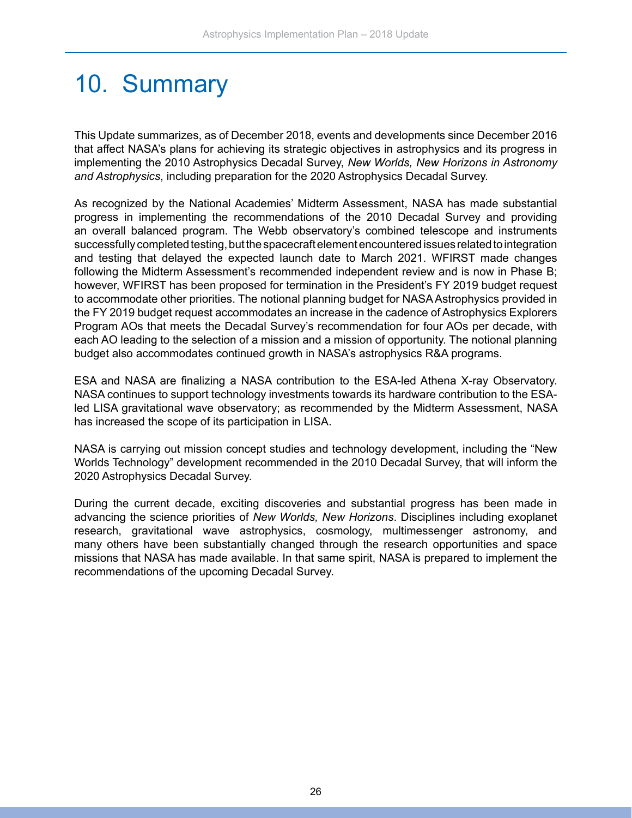### <span id="page-27-0"></span>10. Summary

This Update summarizes, as of December 2018, events and developments since December 2016 that affect NASA's plans for achieving its strategic objectives in astrophysics and its progress in implementing the 2010 Astrophysics Decadal Survey, *New Worlds, New Horizons in Astronomy and Astrophysics*, including preparation for the 2020 Astrophysics Decadal Survey.

As recognized by the National Academies' Midterm Assessment, NASA has made substantial progress in implementing the recommendations of the 2010 Decadal Survey and providing an overall balanced program. The Webb observatory's combined telescope and instruments successfully completed testing, but the spacecraft element encountered issues related to integration and testing that delayed the expected launch date to March 2021. WFIRST made changes following the Midterm Assessment's recommended independent review and is now in Phase B; however, WFIRST has been proposed for termination in the President's FY 2019 budget request to accommodate other priorities. The notional planning budget for NASA Astrophysics provided in the FY 2019 budget request accommodates an increase in the cadence of Astrophysics Explorers Program AOs that meets the Decadal Survey's recommendation for four AOs per decade, with each AO leading to the selection of a mission and a mission of opportunity. The notional planning budget also accommodates continued growth in NASA's astrophysics R&A programs.

ESA and NASA are finalizing a NASA contribution to the ESA-led Athena X-ray Observatory. NASA continues to support technology investments towards its hardware contribution to the ESAled LISA gravitational wave observatory; as recommended by the Midterm Assessment, NASA has increased the scope of its participation in LISA.

NASA is carrying out mission concept studies and technology development, including the "New Worlds Technology" development recommended in the 2010 Decadal Survey, that will inform the 2020 Astrophysics Decadal Survey.

During the current decade, exciting discoveries and substantial progress has been made in advancing the science priorities of *New Worlds, New Horizons*. Disciplines including exoplanet research, gravitational wave astrophysics, cosmology, multimessenger astronomy, and many others have been substantially changed through the research opportunities and space missions that NASA has made available. In that same spirit, NASA is prepared to implement the recommendations of the upcoming Decadal Survey.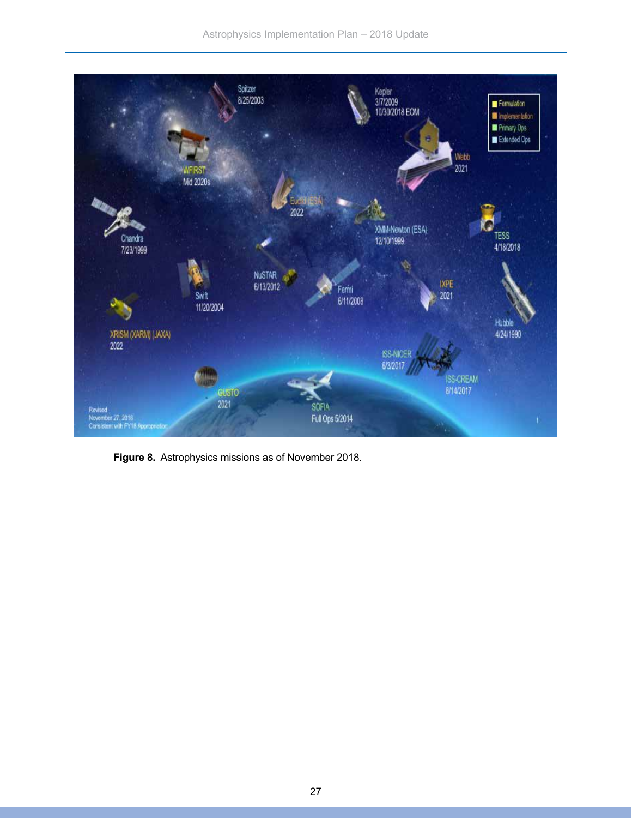

**Figure 8.** Astrophysics missions as of November 2018.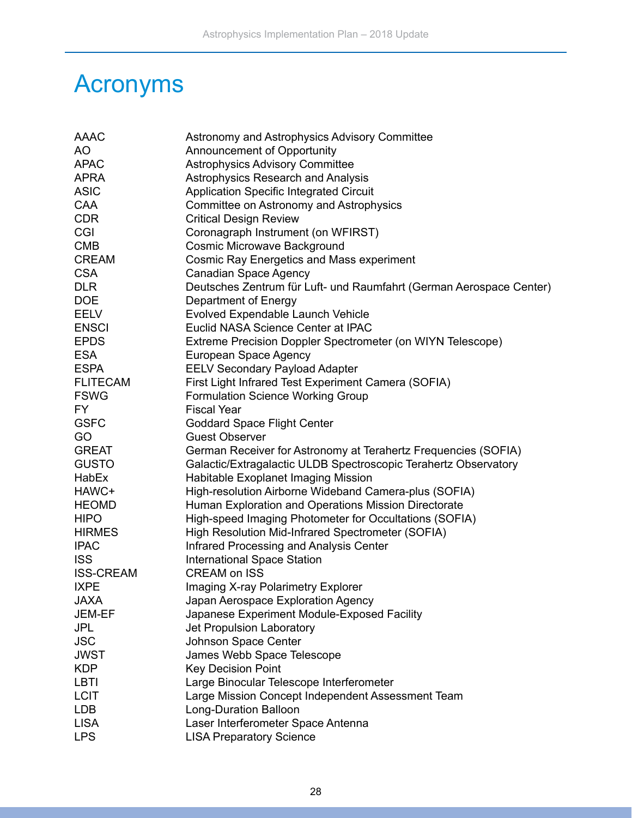### <span id="page-29-0"></span>Acronyms

| AAAC             | Astronomy and Astrophysics Advisory Committee                       |
|------------------|---------------------------------------------------------------------|
| <b>AO</b>        | Announcement of Opportunity                                         |
| <b>APAC</b>      | <b>Astrophysics Advisory Committee</b>                              |
| <b>APRA</b>      | Astrophysics Research and Analysis                                  |
| <b>ASIC</b>      | <b>Application Specific Integrated Circuit</b>                      |
| CAA              | Committee on Astronomy and Astrophysics                             |
| <b>CDR</b>       | <b>Critical Design Review</b>                                       |
| CGI              | Coronagraph Instrument (on WFIRST)                                  |
| <b>CMB</b>       | <b>Cosmic Microwave Background</b>                                  |
| <b>CREAM</b>     | <b>Cosmic Ray Energetics and Mass experiment</b>                    |
| <b>CSA</b>       | <b>Canadian Space Agency</b>                                        |
| <b>DLR</b>       | Deutsches Zentrum für Luft- und Raumfahrt (German Aerospace Center) |
| <b>DOE</b>       | Department of Energy                                                |
| <b>EELV</b>      | Evolved Expendable Launch Vehicle                                   |
| <b>ENSCI</b>     | Euclid NASA Science Center at IPAC                                  |
| <b>EPDS</b>      | Extreme Precision Doppler Spectrometer (on WIYN Telescope)          |
| <b>ESA</b>       | European Space Agency                                               |
| <b>ESPA</b>      | <b>EELV Secondary Payload Adapter</b>                               |
| <b>FLITECAM</b>  | First Light Infrared Test Experiment Camera (SOFIA)                 |
| <b>FSWG</b>      | <b>Formulation Science Working Group</b>                            |
| FY.              | <b>Fiscal Year</b>                                                  |
| <b>GSFC</b>      | <b>Goddard Space Flight Center</b>                                  |
| GO               | <b>Guest Observer</b>                                               |
| <b>GREAT</b>     | German Receiver for Astronomy at Terahertz Frequencies (SOFIA)      |
| <b>GUSTO</b>     | Galactic/Extragalactic ULDB Spectroscopic Terahertz Observatory     |
| HabEx            | Habitable Exoplanet Imaging Mission                                 |
| HAWC+            | High-resolution Airborne Wideband Camera-plus (SOFIA)               |
| <b>HEOMD</b>     | Human Exploration and Operations Mission Directorate                |
| <b>HIPO</b>      | High-speed Imaging Photometer for Occultations (SOFIA)              |
| <b>HIRMES</b>    | High Resolution Mid-Infrared Spectrometer (SOFIA)                   |
| <b>IPAC</b>      | Infrared Processing and Analysis Center                             |
| <b>ISS</b>       | <b>International Space Station</b>                                  |
| <b>ISS-CREAM</b> | <b>CREAM on ISS</b>                                                 |
| <b>IXPE</b>      | Imaging X-ray Polarimetry Explorer                                  |
| <b>JAXA</b>      | Japan Aerospace Exploration Agency                                  |
| JEM-EF           | Japanese Experiment Module-Exposed Facility                         |
| <b>JPL</b>       | Jet Propulsion Laboratory                                           |
| <b>JSC</b>       | Johnson Space Center                                                |
| <b>JWST</b>      | James Webb Space Telescope                                          |
| <b>KDP</b>       | <b>Key Decision Point</b>                                           |
| <b>LBTI</b>      | Large Binocular Telescope Interferometer                            |
| <b>LCIT</b>      | Large Mission Concept Independent Assessment Team                   |
| <b>LDB</b>       | <b>Long-Duration Balloon</b>                                        |
| <b>LISA</b>      | Laser Interferometer Space Antenna                                  |
| <b>LPS</b>       | <b>LISA Preparatory Science</b>                                     |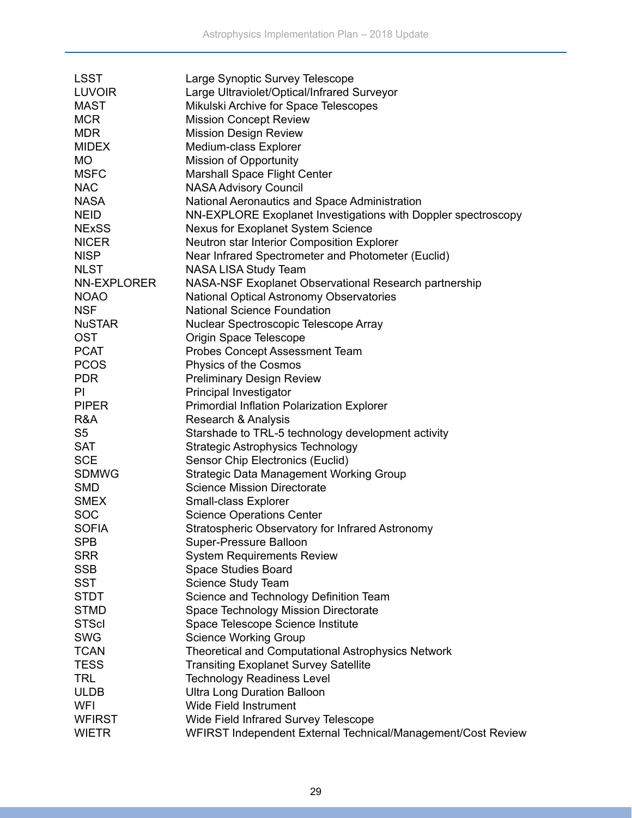| <b>LSST</b>    | Large Synoptic Survey Telescope                               |
|----------------|---------------------------------------------------------------|
| <b>LUVOIR</b>  | Large Ultraviolet/Optical/Infrared Surveyor                   |
| <b>MAST</b>    | Mikulski Archive for Space Telescopes                         |
| <b>MCR</b>     | <b>Mission Concept Review</b>                                 |
| <b>MDR</b>     | <b>Mission Design Review</b>                                  |
| <b>MIDEX</b>   | Medium-class Explorer                                         |
| <b>MO</b>      | <b>Mission of Opportunity</b>                                 |
| <b>MSFC</b>    | <b>Marshall Space Flight Center</b>                           |
| <b>NAC</b>     | <b>NASA Advisory Council</b>                                  |
| <b>NASA</b>    | National Aeronautics and Space Administration                 |
| <b>NEID</b>    | NN-EXPLORE Exoplanet Investigations with Doppler spectroscopy |
| <b>NExSS</b>   | Nexus for Exoplanet System Science                            |
| <b>NICER</b>   | Neutron star Interior Composition Explorer                    |
| <b>NISP</b>    | Near Infrared Spectrometer and Photometer (Euclid)            |
| <b>NLST</b>    | <b>NASA LISA Study Team</b>                                   |
| NN-EXPLORER    | NASA-NSF Exoplanet Observational Research partnership         |
| <b>NOAO</b>    | <b>National Optical Astronomy Observatories</b>               |
| <b>NSF</b>     | <b>National Science Foundation</b>                            |
| <b>NuSTAR</b>  | Nuclear Spectroscopic Telescope Array                         |
| <b>OST</b>     | Origin Space Telescope                                        |
| <b>PCAT</b>    | Probes Concept Assessment Team                                |
| <b>PCOS</b>    | Physics of the Cosmos                                         |
| <b>PDR</b>     | <b>Preliminary Design Review</b>                              |
| PI             | Principal Investigator                                        |
| <b>PIPER</b>   | Primordial Inflation Polarization Explorer                    |
| R&A            | Research & Analysis                                           |
| S <sub>5</sub> | Starshade to TRL-5 technology development activity            |
| <b>SAT</b>     | <b>Strategic Astrophysics Technology</b>                      |
| <b>SCE</b>     | Sensor Chip Electronics (Euclid)                              |
| <b>SDMWG</b>   | <b>Strategic Data Management Working Group</b>                |
| <b>SMD</b>     | <b>Science Mission Directorate</b>                            |
| <b>SMEX</b>    | Small-class Explorer                                          |
| <b>SOC</b>     | <b>Science Operations Center</b>                              |
| <b>SOFIA</b>   | Stratospheric Observatory for Infrared Astronomy              |
| <b>SPB</b>     | Super-Pressure Balloon                                        |
| <b>SRR</b>     | <b>System Requirements Review</b>                             |
| <b>SSB</b>     | Space Studies Board                                           |
| <b>SST</b>     | Science Study Team                                            |
| <b>STDT</b>    | Science and Technology Definition Team                        |
| <b>STMD</b>    | Space Technology Mission Directorate                          |
| <b>STScl</b>   | Space Telescope Science Institute                             |
| <b>SWG</b>     | <b>Science Working Group</b>                                  |
| <b>TCAN</b>    | <b>Theoretical and Computational Astrophysics Network</b>     |
| <b>TESS</b>    | <b>Transiting Exoplanet Survey Satellite</b>                  |
| <b>TRL</b>     | <b>Technology Readiness Level</b>                             |
| <b>ULDB</b>    | <b>Ultra Long Duration Balloon</b>                            |
| <b>WFI</b>     | <b>Wide Field Instrument</b>                                  |
| <b>WFIRST</b>  | Wide Field Infrared Survey Telescope                          |
| <b>WIETR</b>   | WFIRST Independent External Technical/Management/Cost Review  |